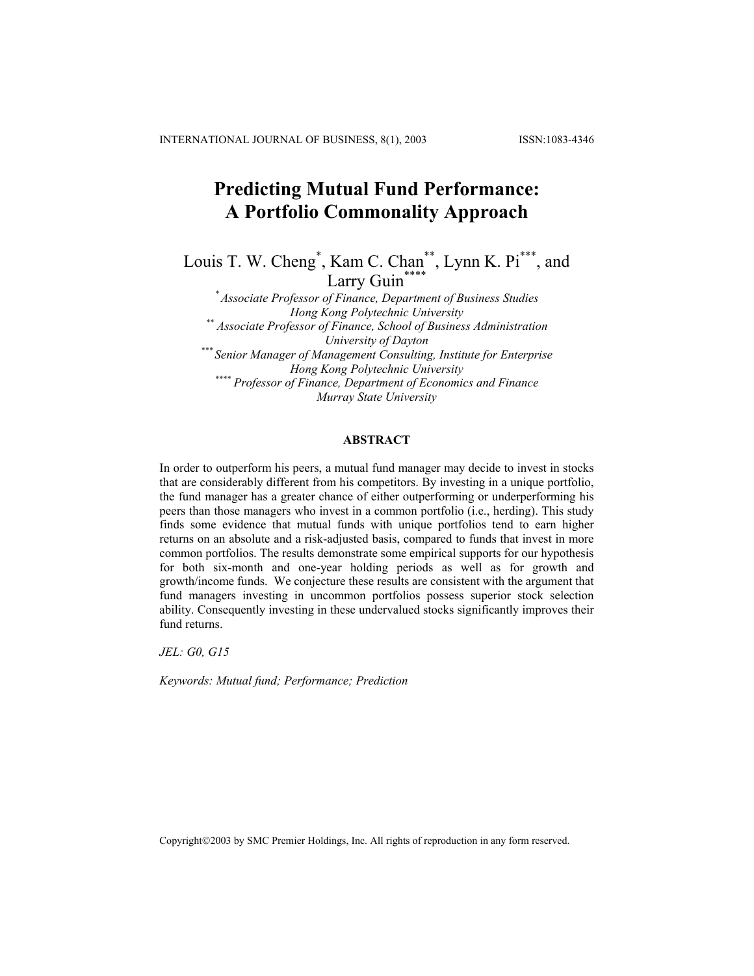# **Predicting Mutual Fund Performance: A Portfolio Commonality Approach**

Louis T. W. Cheng<sup>\*</sup>, Kam C. Chan<sup>\*\*</sup>, Lynn K. Pi<sup>\*\*\*</sup>, and Larry Guin<sup>\*</sup>

*\* Associate Professor of Finance, Department of Business Studies Hong Kong Polytechnic University \*\* Associate Professor of Finance, School of Business Administration University of Dayton \*\*\* Senior Manager of Management Consulting, Institute for Enterprise Hong Kong Polytechnic University \*\*\*\* Professor of Finance, Department of Economics and Finance Murray State University* 

### **ABSTRACT**

In order to outperform his peers, a mutual fund manager may decide to invest in stocks that are considerably different from his competitors. By investing in a unique portfolio, the fund manager has a greater chance of either outperforming or underperforming his peers than those managers who invest in a common portfolio (i.e., herding). This study finds some evidence that mutual funds with unique portfolios tend to earn higher returns on an absolute and a risk-adjusted basis, compared to funds that invest in more common portfolios. The results demonstrate some empirical supports for our hypothesis for both six-month and one-year holding periods as well as for growth and growth/income funds. We conjecture these results are consistent with the argument that fund managers investing in uncommon portfolios possess superior stock selection ability. Consequently investing in these undervalued stocks significantly improves their fund returns.

*JEL: G0, G15* 

*Keywords: Mutual fund; Performance; Prediction* 

Copyright©2003 by SMC Premier Holdings, Inc. All rights of reproduction in any form reserved.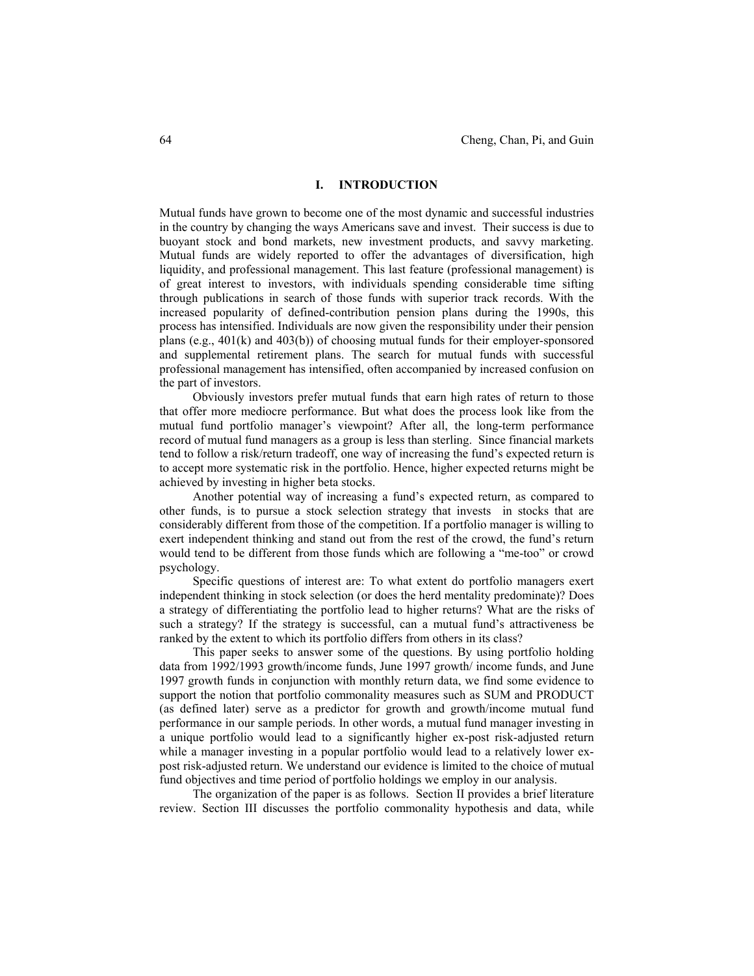### **I. INTRODUCTION**

Mutual funds have grown to become one of the most dynamic and successful industries in the country by changing the ways Americans save and invest. Their success is due to buoyant stock and bond markets, new investment products, and savvy marketing. Mutual funds are widely reported to offer the advantages of diversification, high liquidity, and professional management. This last feature (professional management) is of great interest to investors, with individuals spending considerable time sifting through publications in search of those funds with superior track records. With the increased popularity of defined-contribution pension plans during the 1990s, this process has intensified. Individuals are now given the responsibility under their pension plans (e.g., 401(k) and 403(b)) of choosing mutual funds for their employer-sponsored and supplemental retirement plans. The search for mutual funds with successful professional management has intensified, often accompanied by increased confusion on the part of investors.

Obviously investors prefer mutual funds that earn high rates of return to those that offer more mediocre performance. But what does the process look like from the mutual fund portfolio manager's viewpoint? After all, the long-term performance record of mutual fund managers as a group is less than sterling. Since financial markets tend to follow a risk/return tradeoff, one way of increasing the fund's expected return is to accept more systematic risk in the portfolio. Hence, higher expected returns might be achieved by investing in higher beta stocks.

Another potential way of increasing a fund's expected return, as compared to other funds, is to pursue a stock selection strategy that invests in stocks that are considerably different from those of the competition. If a portfolio manager is willing to exert independent thinking and stand out from the rest of the crowd, the fund's return would tend to be different from those funds which are following a "me-too" or crowd psychology.

Specific questions of interest are: To what extent do portfolio managers exert independent thinking in stock selection (or does the herd mentality predominate)? Does a strategy of differentiating the portfolio lead to higher returns? What are the risks of such a strategy? If the strategy is successful, can a mutual fund's attractiveness be ranked by the extent to which its portfolio differs from others in its class?

This paper seeks to answer some of the questions. By using portfolio holding data from 1992/1993 growth/income funds, June 1997 growth/ income funds, and June 1997 growth funds in conjunction with monthly return data, we find some evidence to support the notion that portfolio commonality measures such as SUM and PRODUCT (as defined later) serve as a predictor for growth and growth/income mutual fund performance in our sample periods. In other words, a mutual fund manager investing in a unique portfolio would lead to a significantly higher ex-post risk-adjusted return while a manager investing in a popular portfolio would lead to a relatively lower expost risk-adjusted return. We understand our evidence is limited to the choice of mutual fund objectives and time period of portfolio holdings we employ in our analysis.

The organization of the paper is as follows. Section II provides a brief literature review. Section III discusses the portfolio commonality hypothesis and data, while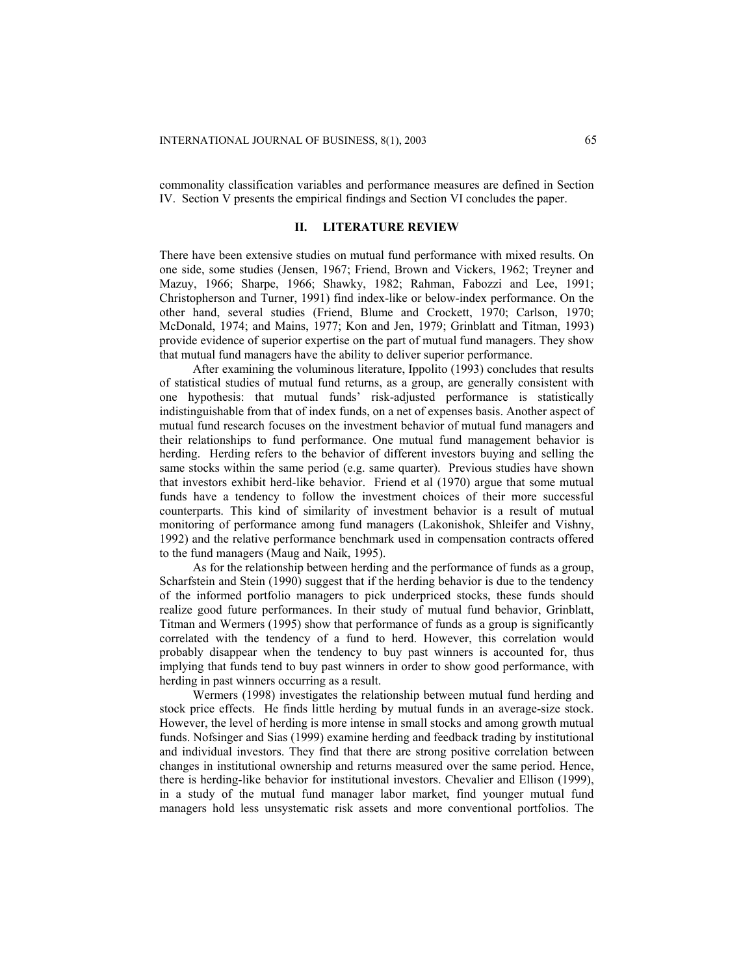commonality classification variables and performance measures are defined in Section IV. Section V presents the empirical findings and Section VI concludes the paper.

### **II. LITERATURE REVIEW**

There have been extensive studies on mutual fund performance with mixed results. On one side, some studies (Jensen, 1967; Friend, Brown and Vickers, 1962; Treyner and Mazuy, 1966; Sharpe, 1966; Shawky, 1982; Rahman, Fabozzi and Lee, 1991; Christopherson and Turner, 1991) find index-like or below-index performance. On the other hand, several studies (Friend, Blume and Crockett, 1970; Carlson, 1970; McDonald, 1974; and Mains, 1977; Kon and Jen, 1979; Grinblatt and Titman, 1993) provide evidence of superior expertise on the part of mutual fund managers. They show that mutual fund managers have the ability to deliver superior performance.

After examining the voluminous literature, Ippolito (1993) concludes that results of statistical studies of mutual fund returns, as a group, are generally consistent with one hypothesis: that mutual funds' risk-adjusted performance is statistically indistinguishable from that of index funds, on a net of expenses basis. Another aspect of mutual fund research focuses on the investment behavior of mutual fund managers and their relationships to fund performance. One mutual fund management behavior is herding. Herding refers to the behavior of different investors buying and selling the same stocks within the same period (e.g. same quarter). Previous studies have shown that investors exhibit herd-like behavior. Friend et al (1970) argue that some mutual funds have a tendency to follow the investment choices of their more successful counterparts. This kind of similarity of investment behavior is a result of mutual monitoring of performance among fund managers (Lakonishok, Shleifer and Vishny, 1992) and the relative performance benchmark used in compensation contracts offered to the fund managers (Maug and Naik, 1995).

As for the relationship between herding and the performance of funds as a group, Scharfstein and Stein (1990) suggest that if the herding behavior is due to the tendency of the informed portfolio managers to pick underpriced stocks, these funds should realize good future performances. In their study of mutual fund behavior, Grinblatt, Titman and Wermers (1995) show that performance of funds as a group is significantly correlated with the tendency of a fund to herd. However, this correlation would probably disappear when the tendency to buy past winners is accounted for, thus implying that funds tend to buy past winners in order to show good performance, with herding in past winners occurring as a result.

Wermers (1998) investigates the relationship between mutual fund herding and stock price effects. He finds little herding by mutual funds in an average-size stock. However, the level of herding is more intense in small stocks and among growth mutual funds. Nofsinger and Sias (1999) examine herding and feedback trading by institutional and individual investors. They find that there are strong positive correlation between changes in institutional ownership and returns measured over the same period. Hence, there is herding-like behavior for institutional investors. Chevalier and Ellison (1999), in a study of the mutual fund manager labor market, find younger mutual fund managers hold less unsystematic risk assets and more conventional portfolios. The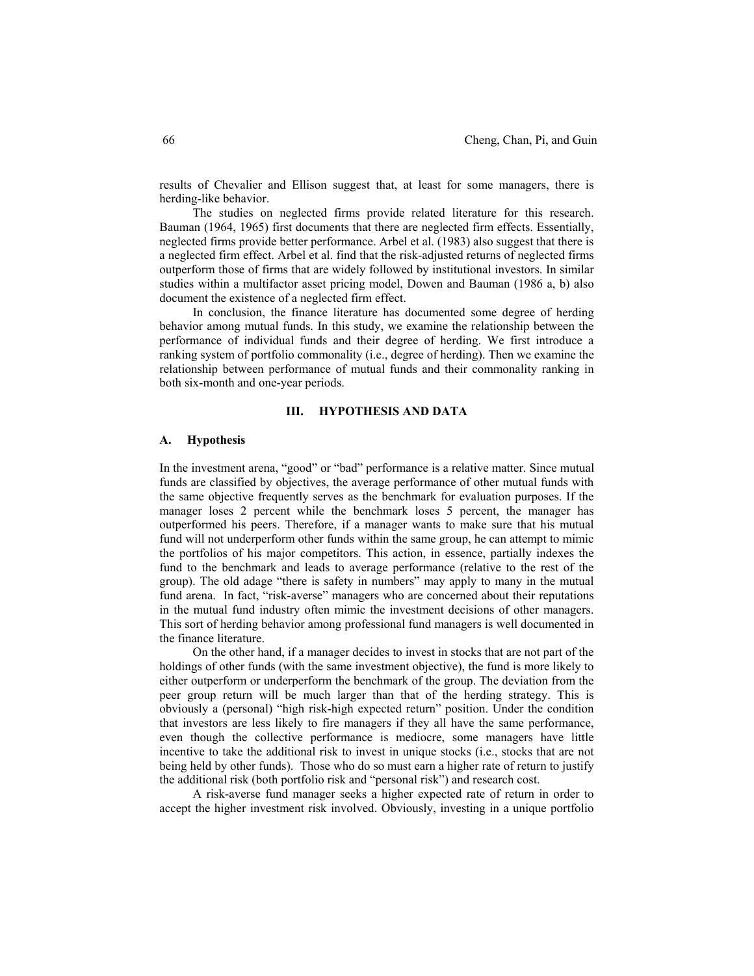results of Chevalier and Ellison suggest that, at least for some managers, there is herding-like behavior.

The studies on neglected firms provide related literature for this research. Bauman (1964, 1965) first documents that there are neglected firm effects. Essentially, neglected firms provide better performance. Arbel et al. (1983) also suggest that there is a neglected firm effect. Arbel et al. find that the risk-adjusted returns of neglected firms outperform those of firms that are widely followed by institutional investors. In similar studies within a multifactor asset pricing model, Dowen and Bauman (1986 a, b) also document the existence of a neglected firm effect.

In conclusion, the finance literature has documented some degree of herding behavior among mutual funds. In this study, we examine the relationship between the performance of individual funds and their degree of herding. We first introduce a ranking system of portfolio commonality (i.e., degree of herding). Then we examine the relationship between performance of mutual funds and their commonality ranking in both six-month and one-year periods.

#### **III. HYPOTHESIS AND DATA**

### **A. Hypothesis**

In the investment arena, "good" or "bad" performance is a relative matter. Since mutual funds are classified by objectives, the average performance of other mutual funds with the same objective frequently serves as the benchmark for evaluation purposes. If the manager loses 2 percent while the benchmark loses 5 percent, the manager has outperformed his peers. Therefore, if a manager wants to make sure that his mutual fund will not underperform other funds within the same group, he can attempt to mimic the portfolios of his major competitors. This action, in essence, partially indexes the fund to the benchmark and leads to average performance (relative to the rest of the group). The old adage "there is safety in numbers" may apply to many in the mutual fund arena. In fact, "risk-averse" managers who are concerned about their reputations in the mutual fund industry often mimic the investment decisions of other managers. This sort of herding behavior among professional fund managers is well documented in the finance literature.

On the other hand, if a manager decides to invest in stocks that are not part of the holdings of other funds (with the same investment objective), the fund is more likely to either outperform or underperform the benchmark of the group. The deviation from the peer group return will be much larger than that of the herding strategy. This is obviously a (personal) "high risk-high expected return" position. Under the condition that investors are less likely to fire managers if they all have the same performance, even though the collective performance is mediocre, some managers have little incentive to take the additional risk to invest in unique stocks (i.e., stocks that are not being held by other funds). Those who do so must earn a higher rate of return to justify the additional risk (both portfolio risk and "personal risk") and research cost.

A risk-averse fund manager seeks a higher expected rate of return in order to accept the higher investment risk involved. Obviously, investing in a unique portfolio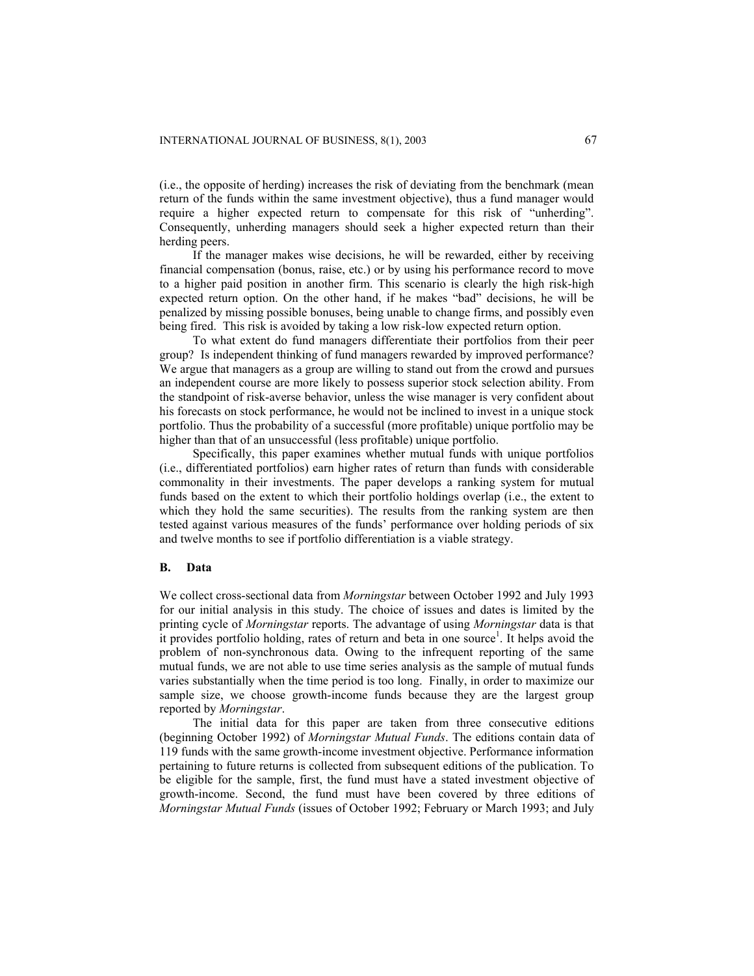(i.e., the opposite of herding) increases the risk of deviating from the benchmark (mean return of the funds within the same investment objective), thus a fund manager would require a higher expected return to compensate for this risk of "unherding". Consequently, unherding managers should seek a higher expected return than their herding peers.

If the manager makes wise decisions, he will be rewarded, either by receiving financial compensation (bonus, raise, etc.) or by using his performance record to move to a higher paid position in another firm. This scenario is clearly the high risk-high expected return option. On the other hand, if he makes "bad" decisions, he will be penalized by missing possible bonuses, being unable to change firms, and possibly even being fired. This risk is avoided by taking a low risk-low expected return option.

To what extent do fund managers differentiate their portfolios from their peer group? Is independent thinking of fund managers rewarded by improved performance? We argue that managers as a group are willing to stand out from the crowd and pursues an independent course are more likely to possess superior stock selection ability. From the standpoint of risk-averse behavior, unless the wise manager is very confident about his forecasts on stock performance, he would not be inclined to invest in a unique stock portfolio. Thus the probability of a successful (more profitable) unique portfolio may be higher than that of an unsuccessful (less profitable) unique portfolio.

Specifically, this paper examines whether mutual funds with unique portfolios (i.e., differentiated portfolios) earn higher rates of return than funds with considerable commonality in their investments. The paper develops a ranking system for mutual funds based on the extent to which their portfolio holdings overlap (i.e., the extent to which they hold the same securities). The results from the ranking system are then tested against various measures of the funds' performance over holding periods of six and twelve months to see if portfolio differentiation is a viable strategy.

### **B. Data**

We collect cross-sectional data from *Morningstar* between October 1992 and July 1993 for our initial analysis in this study. The choice of issues and dates is limited by the printing cycle of *Morningstar* reports. The advantage of using *Morningstar* data is that it provides portfolio holding, rates of return and beta in one source<sup>1</sup>. It helps avoid the problem of non-synchronous data. Owing to the infrequent reporting of the same mutual funds, we are not able to use time series analysis as the sample of mutual funds varies substantially when the time period is too long. Finally, in order to maximize our sample size, we choose growth-income funds because they are the largest group reported by *Morningstar*.

The initial data for this paper are taken from three consecutive editions (beginning October 1992) of *Morningstar Mutual Funds*. The editions contain data of 119 funds with the same growth-income investment objective. Performance information pertaining to future returns is collected from subsequent editions of the publication. To be eligible for the sample, first, the fund must have a stated investment objective of growth-income. Second, the fund must have been covered by three editions of *Morningstar Mutual Funds* (issues of October 1992; February or March 1993; and July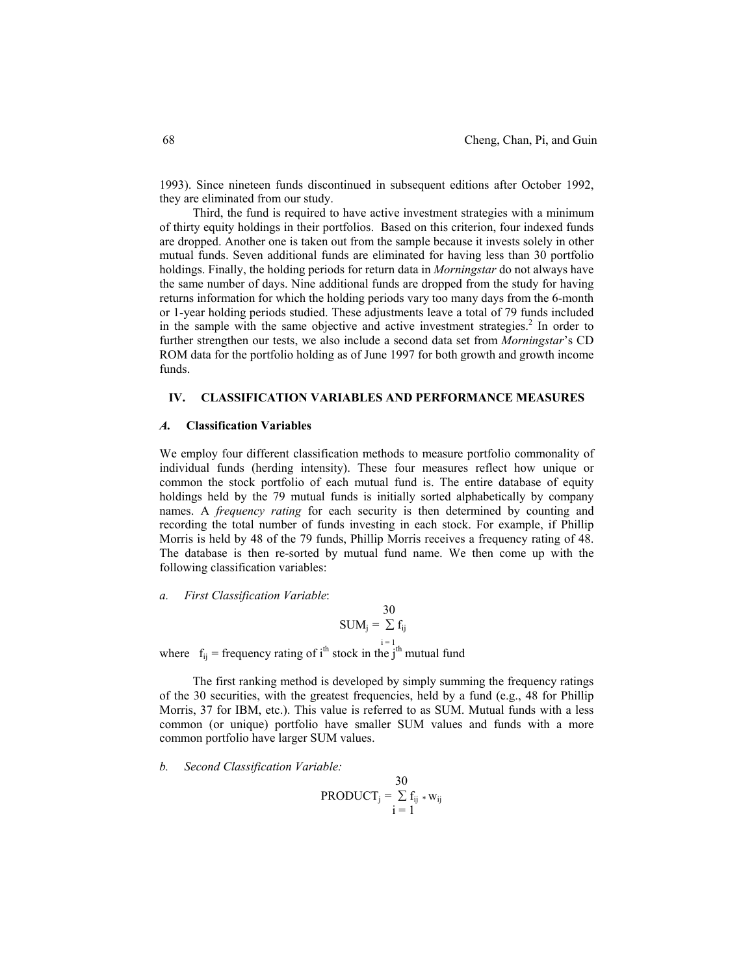1993). Since nineteen funds discontinued in subsequent editions after October 1992, they are eliminated from our study.

Third, the fund is required to have active investment strategies with a minimum of thirty equity holdings in their portfolios. Based on this criterion, four indexed funds are dropped. Another one is taken out from the sample because it invests solely in other mutual funds. Seven additional funds are eliminated for having less than 30 portfolio holdings. Finally, the holding periods for return data in *Morningstar* do not always have the same number of days. Nine additional funds are dropped from the study for having returns information for which the holding periods vary too many days from the 6-month or 1-year holding periods studied. These adjustments leave a total of 79 funds included in the sample with the same objective and active investment strategies.<sup>2</sup> In order to further strengthen our tests, we also include a second data set from *Morningstar*'s CD ROM data for the portfolio holding as of June 1997 for both growth and growth income funds.

### **IV. CLASSIFICATION VARIABLES AND PERFORMANCE MEASURES**

### *A.* **Classification Variables**

We employ four different classification methods to measure portfolio commonality of individual funds (herding intensity). These four measures reflect how unique or common the stock portfolio of each mutual fund is. The entire database of equity holdings held by the 79 mutual funds is initially sorted alphabetically by company names. A *frequency rating* for each security is then determined by counting and recording the total number of funds investing in each stock. For example, if Phillip Morris is held by 48 of the 79 funds, Phillip Morris receives a frequency rating of 48. The database is then re-sorted by mutual fund name. We then come up with the following classification variables:

#### *a. First Classification Variable*:

 30  $SUM_j = \sum f_{ij}$ 

where  $f_{ij}$  = frequency rating of i<sup>th</sup> stock in the j<sup>th</sup> mutual fund

The first ranking method is developed by simply summing the frequency ratings of the 30 securities, with the greatest frequencies, held by a fund (e.g., 48 for Phillip Morris, 37 for IBM, etc.). This value is referred to as SUM. Mutual funds with a less common (or unique) portfolio have smaller SUM values and funds with a more common portfolio have larger SUM values.

*b. Second Classification Variable:* 

$$
\text{PRODUCT}_j = \sum_{i=1}^{30} f_{ij} * w_{ij}
$$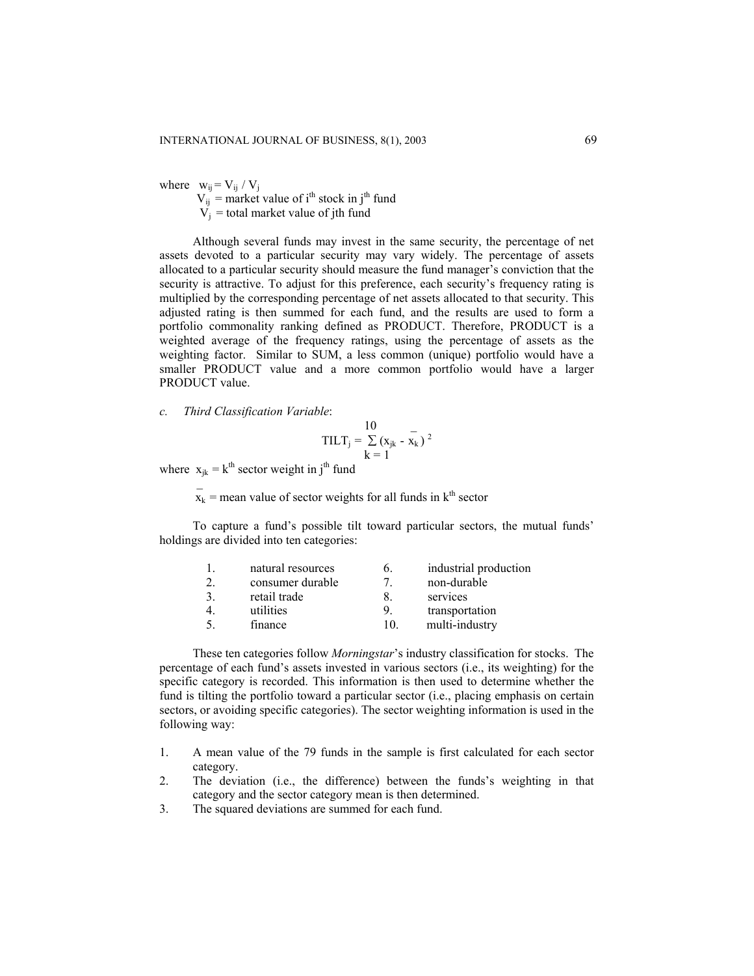where  $w_{ij} = V_{ij} / V_j$  $V_{ij}$  = market value of i<sup>th</sup> stock in j<sup>th</sup> fund  $V_j$  = total market value of jth fund

Although several funds may invest in the same security, the percentage of net assets devoted to a particular security may vary widely. The percentage of assets allocated to a particular security should measure the fund manager's conviction that the security is attractive. To adjust for this preference, each security's frequency rating is multiplied by the corresponding percentage of net assets allocated to that security. This adjusted rating is then summed for each fund, and the results are used to form a portfolio commonality ranking defined as PRODUCT. Therefore, PRODUCT is a weighted average of the frequency ratings, using the percentage of assets as the weighting factor. Similar to SUM, a less common (unique) portfolio would have a smaller PRODUCT value and a more common portfolio would have a larger PRODUCT value.

*c. Third Classification Variable*:

 $\sim$ 

$$
\text{TILT}_{\text{j}} = \frac{10}{\sum_{k=1}^{n} (x_{\text{j}k} - \bar{x}_{\text{k}})^2}
$$

where  $x_{jk} = k^{th}$  sector weight in j<sup>th</sup> fund

 $x_k$  = mean value of sector weights for all funds in  $k^{\text{th}}$  sector

To capture a fund's possible tilt toward particular sectors, the mutual funds' holdings are divided into ten categories:

| natural resources | 6.  | industrial production |
|-------------------|-----|-----------------------|
| consumer durable  |     | non-durable           |
| retail trade      | 8.  | services              |
| utilities         | 9   | transportation        |
| finance           | 10. | multi-industry        |

These ten categories follow *Morningstar*'s industry classification for stocks. The percentage of each fund's assets invested in various sectors (i.e., its weighting) for the specific category is recorded. This information is then used to determine whether the fund is tilting the portfolio toward a particular sector (i.e., placing emphasis on certain sectors, or avoiding specific categories). The sector weighting information is used in the following way:

- 1. A mean value of the 79 funds in the sample is first calculated for each sector category.
- 2. The deviation (i.e., the difference) between the funds's weighting in that category and the sector category mean is then determined.
- 3. The squared deviations are summed for each fund.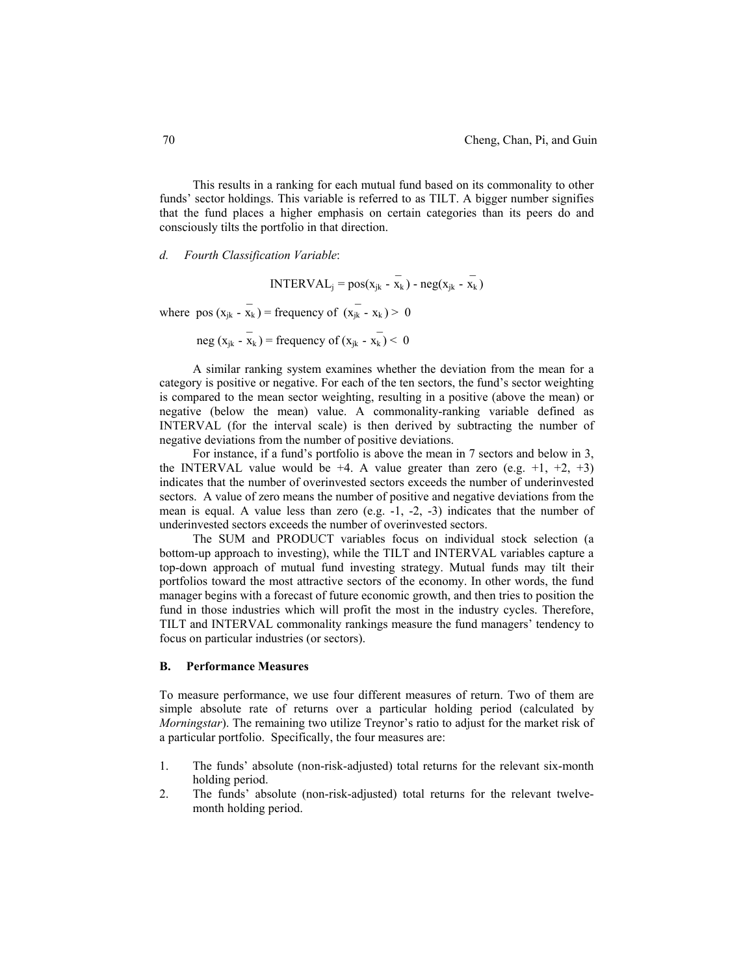This results in a ranking for each mutual fund based on its commonality to other funds' sector holdings. This variable is referred to as TILT. A bigger number signifies that the fund places a higher emphasis on certain categories than its peers do and consciously tilts the portfolio in that direction.

*d. Fourth Classification Variable*:

INTERVAL<sub>j</sub> =  $pos(x_{jk} - x_k) - neg(x_{jk} - x_k)$ 

where pos  $(x_{jk} - x_k)$  = frequency of  $(x_{jk} - x_k)$  > 0

neg ( $x_{jk} - x_k$ ) = frequency of ( $x_{jk} - x_k$ ) < 0

 $\mathcal{L} = \{ \mathcal{L} \mid \mathcal{L} \in \mathcal{L} \}$  , where  $\mathcal{L} = \{ \mathcal{L} \mid \mathcal{L} \in \mathcal{L} \}$  , where  $\mathcal{L} = \{ \mathcal{L} \mid \mathcal{L} \in \mathcal{L} \}$ 

A similar ranking system examines whether the deviation from the mean for a category is positive or negative. For each of the ten sectors, the fund's sector weighting is compared to the mean sector weighting, resulting in a positive (above the mean) or negative (below the mean) value. A commonality-ranking variable defined as INTERVAL (for the interval scale) is then derived by subtracting the number of negative deviations from the number of positive deviations.

For instance, if a fund's portfolio is above the mean in 7 sectors and below in 3, the INTERVAL value would be  $+4$ . A value greater than zero (e.g.  $+1$ ,  $+2$ ,  $+3$ ) indicates that the number of overinvested sectors exceeds the number of underinvested sectors. A value of zero means the number of positive and negative deviations from the mean is equal. A value less than zero (e.g.  $-1$ ,  $-2$ ,  $-3$ ) indicates that the number of underinvested sectors exceeds the number of overinvested sectors.

The SUM and PRODUCT variables focus on individual stock selection (a bottom-up approach to investing), while the TILT and INTERVAL variables capture a top-down approach of mutual fund investing strategy. Mutual funds may tilt their portfolios toward the most attractive sectors of the economy. In other words, the fund manager begins with a forecast of future economic growth, and then tries to position the fund in those industries which will profit the most in the industry cycles. Therefore, TILT and INTERVAL commonality rankings measure the fund managers' tendency to focus on particular industries (or sectors).

### **B. Performance Measures**

To measure performance, we use four different measures of return. Two of them are simple absolute rate of returns over a particular holding period (calculated by *Morningstar*). The remaining two utilize Treynor's ratio to adjust for the market risk of a particular portfolio. Specifically, the four measures are:

- 1. The funds' absolute (non-risk-adjusted) total returns for the relevant six-month holding period.
- 2. The funds' absolute (non-risk-adjusted) total returns for the relevant twelvemonth holding period.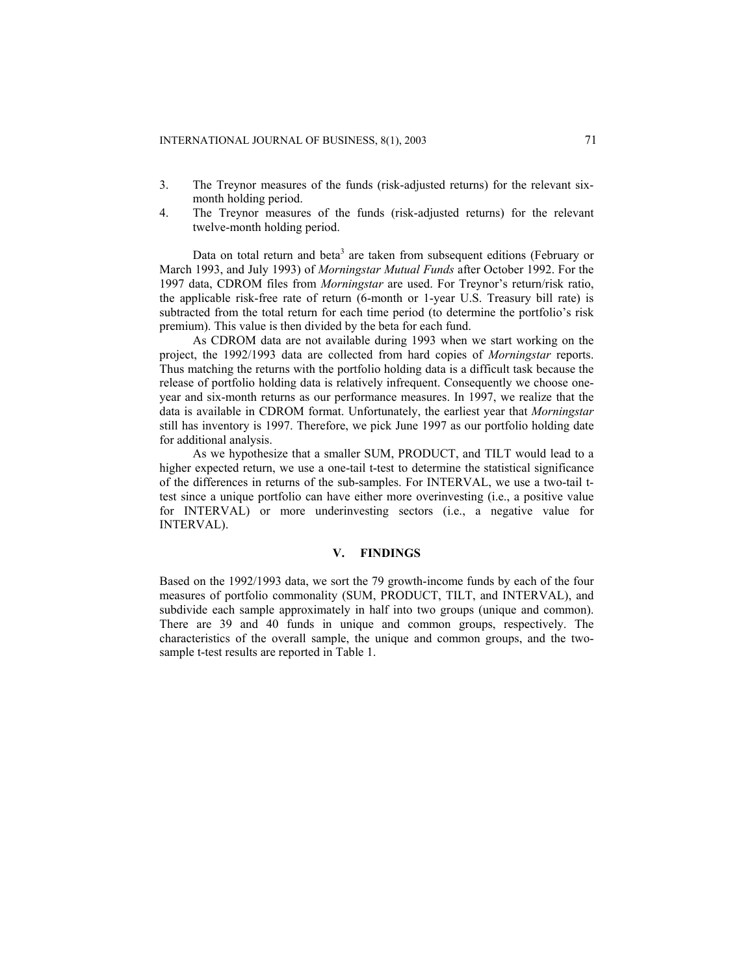- 3. The Treynor measures of the funds (risk-adjusted returns) for the relevant sixmonth holding period.
- 4. The Treynor measures of the funds (risk-adjusted returns) for the relevant twelve-month holding period.

Data on total return and beta<sup>3</sup> are taken from subsequent editions (February or March 1993, and July 1993) of *Morningstar Mutual Funds* after October 1992. For the 1997 data, CDROM files from *Morningstar* are used. For Treynor's return/risk ratio, the applicable risk-free rate of return (6-month or 1-year U.S. Treasury bill rate) is subtracted from the total return for each time period (to determine the portfolio's risk premium). This value is then divided by the beta for each fund.

As CDROM data are not available during 1993 when we start working on the project, the 1992/1993 data are collected from hard copies of *Morningstar* reports. Thus matching the returns with the portfolio holding data is a difficult task because the release of portfolio holding data is relatively infrequent. Consequently we choose oneyear and six-month returns as our performance measures. In 1997, we realize that the data is available in CDROM format. Unfortunately, the earliest year that *Morningstar* still has inventory is 1997. Therefore, we pick June 1997 as our portfolio holding date for additional analysis.

As we hypothesize that a smaller SUM, PRODUCT, and TILT would lead to a higher expected return, we use a one-tail t-test to determine the statistical significance of the differences in returns of the sub-samples. For INTERVAL, we use a two-tail ttest since a unique portfolio can have either more overinvesting (i.e., a positive value for INTERVAL) or more underinvesting sectors (i.e., a negative value for INTERVAL).

#### **V. FINDINGS**

Based on the 1992/1993 data, we sort the 79 growth-income funds by each of the four measures of portfolio commonality (SUM, PRODUCT, TILT, and INTERVAL), and subdivide each sample approximately in half into two groups (unique and common). There are 39 and 40 funds in unique and common groups, respectively. The characteristics of the overall sample, the unique and common groups, and the twosample t-test results are reported in Table 1.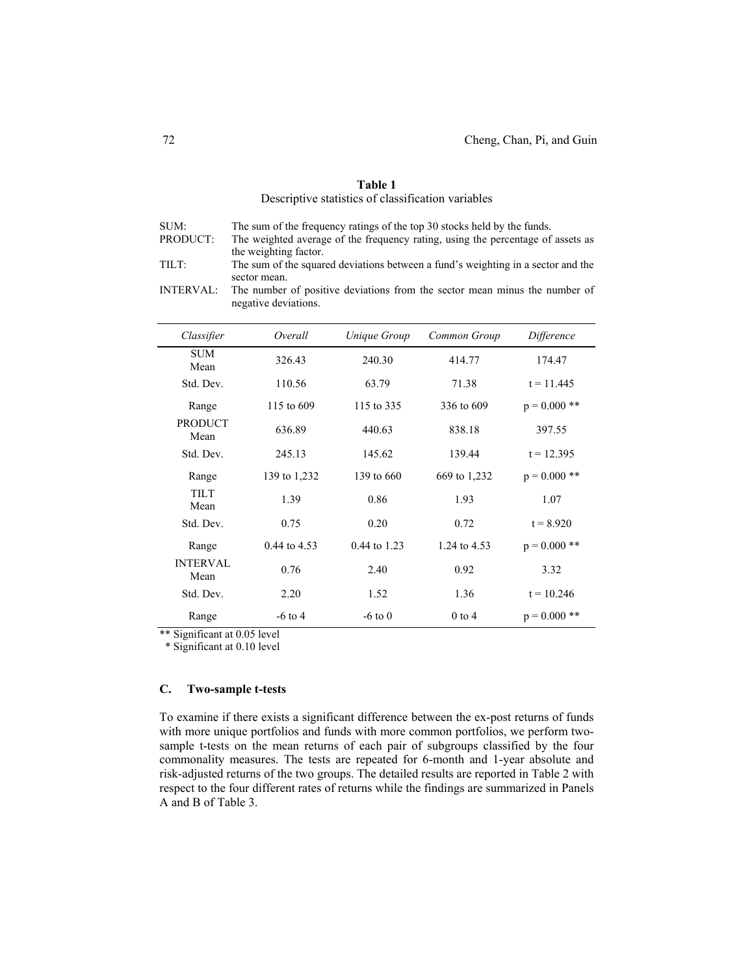# **Table 1**  Descriptive statistics of classification variables

| SUM:     | The sum of the frequency ratings of the top 30 stocks held by the funds.         |
|----------|----------------------------------------------------------------------------------|
| PRODUCT: | The weighted average of the frequency rating, using the percentage of assets as  |
|          | the weighting factor.                                                            |
| TILT:    | The sum of the squared deviations between a fund's weighting in a sector and the |
|          | sector mean.                                                                     |
|          |                                                                                  |

INTERVAL: The number of positive deviations from the sector mean minus the number of negative deviations.

| Classifier              | Overall          | Unique Group | Common Group | Difference     |
|-------------------------|------------------|--------------|--------------|----------------|
| <b>SUM</b><br>Mean      | 326.43           | 240.30       | 414.77       | 174.47         |
| Std. Dev.               | 110.56           | 63.79        | 71.38        | $t = 11.445$   |
| Range                   | 115 to 609       | 115 to 335   | 336 to 609   | $p = 0.000$ ** |
| <b>PRODUCT</b><br>Mean  | 636.89           | 440.63       | 838.18       | 397.55         |
| Std. Dev.               | 245.13           | 145.62       | 139.44       | $t = 12.395$   |
| Range                   | 139 to 1,232     | 139 to 660   | 669 to 1,232 | $p = 0.000$ ** |
| <b>TILT</b><br>Mean     | 1.39             | 0.86         | 1.93         | 1.07           |
| Std. Dev.               | 0.75             | 0.20         | 0.72         | $t = 8.920$    |
| Range                   | $0.44$ to $4.53$ | 0.44 to 1.23 | 1.24 to 4.53 | $p = 0.000$ ** |
| <b>INTERVAL</b><br>Mean | 0.76             | 2.40         | 0.92         | 3.32           |
| Std. Dev.               | 2.20             | 1.52         | 1.36         | $t = 10.246$   |
| Range                   | $-6$ to 4        | $-6$ to 0    | $0$ to $4$   | $p = 0.000$ ** |

\*\* Significant at 0.05 level

\* Significant at 0.10 level

#### **C. Two-sample t-tests**

To examine if there exists a significant difference between the ex-post returns of funds with more unique portfolios and funds with more common portfolios, we perform twosample t-tests on the mean returns of each pair of subgroups classified by the four commonality measures. The tests are repeated for 6-month and 1-year absolute and risk-adjusted returns of the two groups. The detailed results are reported in Table 2 with respect to the four different rates of returns while the findings are summarized in Panels A and B of Table 3.

 $\overline{a}$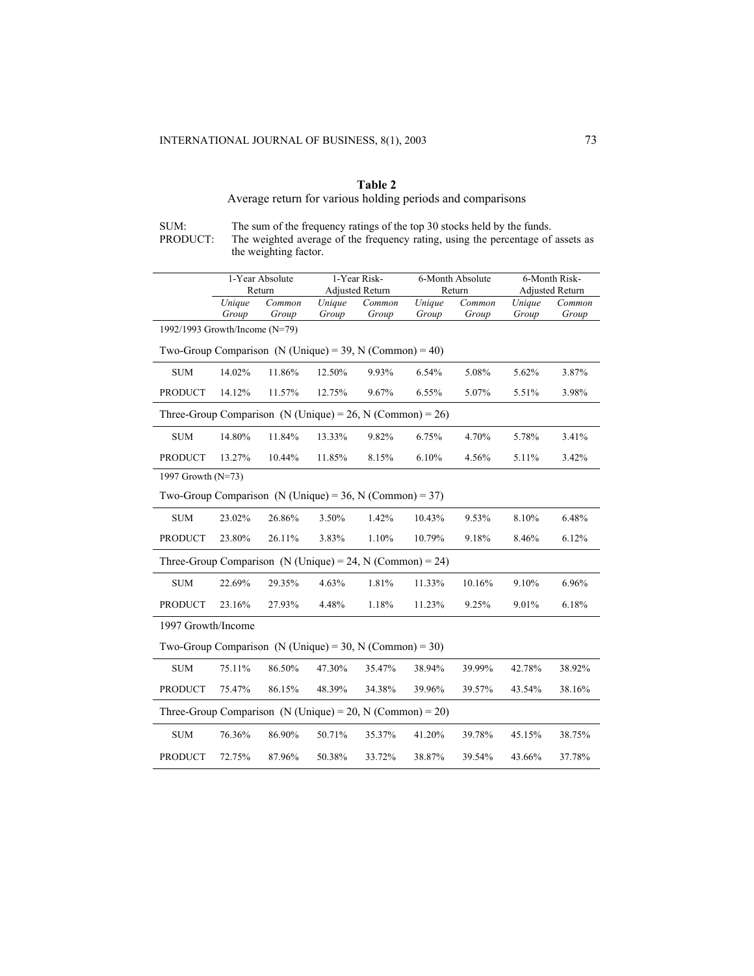# **Table 2**

# Average return for various holding periods and comparisons

SUM: The sum of the frequency ratings of the top 30 stocks held by the funds. PRODUCT: The weighted average of the frequency rating, using the percentage of assets as the weighting factor.

|                                                           | 1-Year Absolute<br>Return                                 |        | 1-Year Risk- |                        | 6-Month Absolute |        | 6-Month Risk- |                        |  |
|-----------------------------------------------------------|-----------------------------------------------------------|--------|--------------|------------------------|------------------|--------|---------------|------------------------|--|
|                                                           |                                                           |        |              | <b>Adjusted Return</b> |                  | Return |               | <b>Adjusted Return</b> |  |
|                                                           | Unique                                                    | Common | Unique       | Common                 | Unique           | Common | Unique        | Common                 |  |
|                                                           | Group                                                     | Group  | Group        | Group                  | Group            | Group  | Group         | Group                  |  |
| 1992/1993 Growth/Income (N=79)                            |                                                           |        |              |                        |                  |        |               |                        |  |
| Two-Group Comparison (N (Unique) = 39, N (Common) = 40)   |                                                           |        |              |                        |                  |        |               |                        |  |
| <b>SUM</b>                                                | 14.02%                                                    | 11.86% | 12.50%       | 9.93%                  | 6.54%            | 5.08%  | 5.62%         | 3.87%                  |  |
| <b>PRODUCT</b>                                            | 14.12%                                                    | 11.57% | 12.75%       | 9.67%                  | 6.55%            | 5.07%  | 5.51%         | 3.98%                  |  |
| Three-Group Comparison (N (Unique) = 26, N (Common) = 26) |                                                           |        |              |                        |                  |        |               |                        |  |
| <b>SUM</b>                                                | 14.80%                                                    | 11.84% | 13.33%       | 9.82%                  | 6.75%            | 4.70%  | 5.78%         | 3.41%                  |  |
| <b>PRODUCT</b>                                            | 13.27%                                                    | 10.44% | 11.85%       | 8.15%                  | 6.10%            | 4.56%  | 5.11%         | 3.42%                  |  |
| 1997 Growth (N=73)                                        |                                                           |        |              |                        |                  |        |               |                        |  |
| Two-Group Comparison (N (Unique) = 36, N (Common) = 37)   |                                                           |        |              |                        |                  |        |               |                        |  |
| <b>SUM</b>                                                | 23.02%                                                    | 26.86% | 3.50%        | 1.42%                  | 10.43%           | 9.53%  | 8.10%         | 6.48%                  |  |
| <b>PRODUCT</b>                                            | 23.80%                                                    | 26.11% | 3.83%        | 1.10%                  | 10.79%           | 9.18%  | 8.46%         | 6.12%                  |  |
| Three-Group Comparison (N (Unique) = 24, N (Common) = 24) |                                                           |        |              |                        |                  |        |               |                        |  |
| <b>SUM</b>                                                | 22.69%                                                    | 29.35% | 4.63%        | 1.81%                  | 11.33%           | 10.16% | 9.10%         | 6.96%                  |  |
| <b>PRODUCT</b>                                            | 23.16%                                                    | 27.93% | 4.48%        | 1.18%                  | 11.23%           | 9.25%  | 9.01%         | 6.18%                  |  |
| 1997 Growth/Income                                        |                                                           |        |              |                        |                  |        |               |                        |  |
| Two-Group Comparison (N (Unique) = 30, N (Common) = 30)   |                                                           |        |              |                        |                  |        |               |                        |  |
| <b>SUM</b>                                                | 75.11%                                                    | 86.50% | 47.30%       | 35.47%                 | 38.94%           | 39.99% | 42.78%        | 38.92%                 |  |
| <b>PRODUCT</b>                                            | 75.47%                                                    | 86.15% | 48.39%       | 34.38%                 | 39.96%           | 39.57% | 43.54%        | 38.16%                 |  |
|                                                           | Three-Group Comparison (N (Unique) = 20, N (Common) = 20) |        |              |                        |                  |        |               |                        |  |
| <b>SUM</b>                                                | 76.36%                                                    | 86.90% | 50.71%       | 35.37%                 | 41.20%           | 39.78% | 45.15%        | 38.75%                 |  |
| <b>PRODUCT</b>                                            | 72.75%                                                    | 87.96% | 50.38%       | 33.72%                 | 38.87%           | 39.54% | 43.66%        | 37.78%                 |  |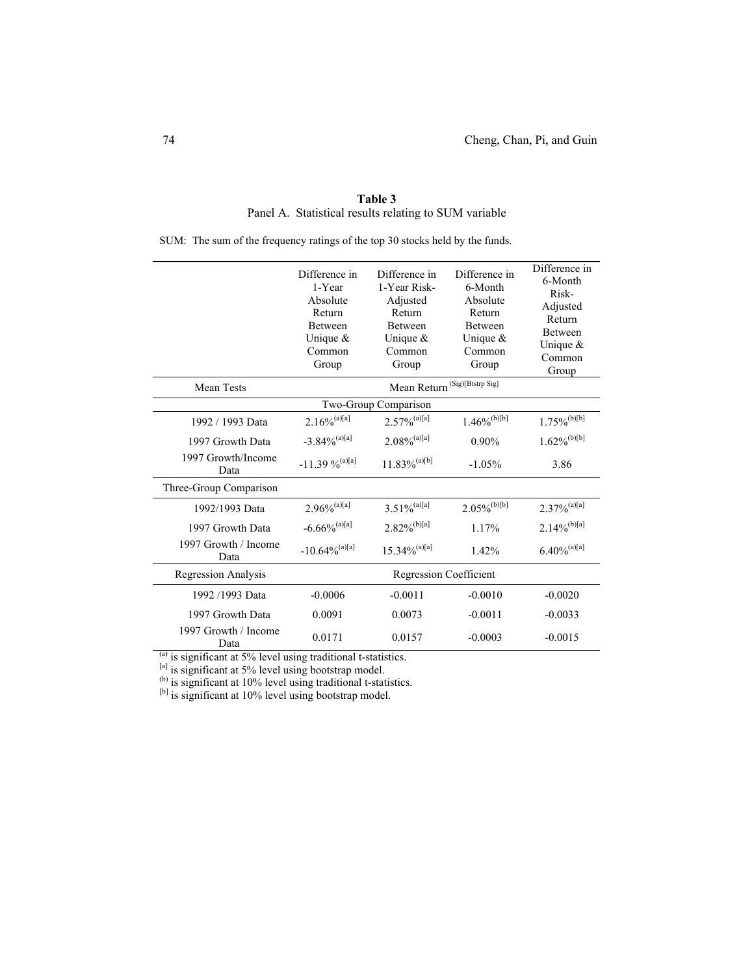|                              | Difference in<br>1-Year<br>Absolute<br>Return<br>Between<br>Unique $\&$<br>Common<br>Group | Difference in<br>1-Year Risk-<br>Adjusted<br>Return<br>Between<br>Unique $\&$<br>Common<br>Group | Difference in<br>6-Month<br>Absolute<br>Return<br>Between<br>Unique $&$<br>Common<br>Group | Difference in<br>6-Month<br>Risk-<br>Adjusted<br>Return<br><b>Between</b><br>Unique $&$<br>Common<br>Group |  |  |  |  |  |
|------------------------------|--------------------------------------------------------------------------------------------|--------------------------------------------------------------------------------------------------|--------------------------------------------------------------------------------------------|------------------------------------------------------------------------------------------------------------|--|--|--|--|--|
| <b>Mean Tests</b>            |                                                                                            |                                                                                                  |                                                                                            |                                                                                                            |  |  |  |  |  |
|                              | Two-Group Comparison                                                                       |                                                                                                  |                                                                                            |                                                                                                            |  |  |  |  |  |
| 1992 / 1993 Data             | $2.16\%^{(a)[a]}$                                                                          | $2.57\%$ <sup>(a)[a]</sup>                                                                       | $1.46\%^{(b)[b]}$                                                                          | $1.75\%$ <sup>(b)[b]</sup>                                                                                 |  |  |  |  |  |
| 1997 Growth Data             | $-3.84\%$ <sup>(a)[a]</sup>                                                                | $2.08\%$ <sup>(a)[a]</sup>                                                                       | $0.90\%$                                                                                   | $1.62\%^{(b)[b]}$                                                                                          |  |  |  |  |  |
| 1997 Growth/Income<br>Data   | $-11.39\%$ <sup>(a)[a]</sup>                                                               | $11.83\%^{(a)[b]}$                                                                               | $-1.05%$                                                                                   | 3.86                                                                                                       |  |  |  |  |  |
| Three-Group Comparison       |                                                                                            |                                                                                                  |                                                                                            |                                                                                                            |  |  |  |  |  |
| 1992/1993 Data               | $2.96\%$ <sup>(a)[a]</sup>                                                                 | $3.51\%^{(a)[a]}$                                                                                | $2.05\%$ <sup>(b)[b]</sup>                                                                 | $2.37\%$ <sup>(a)[a]</sup>                                                                                 |  |  |  |  |  |
| 1997 Growth Data             | $-6.66\%$ <sup>(a)[a]</sup>                                                                | $2.82\%$ <sup>(b)[a]</sup>                                                                       | 1.17%                                                                                      | $2.14\%^{(b)[a]}$                                                                                          |  |  |  |  |  |
| 1997 Growth / Income<br>Data | $-10.64\%$ <sup>(a)[a]</sup>                                                               | $15.34\%$ <sup>(a)[a]</sup>                                                                      | 1.42%                                                                                      | $6.40\%^{(a)[a]}$                                                                                          |  |  |  |  |  |
| <b>Regression Analysis</b>   |                                                                                            | <b>Regression Coefficient</b>                                                                    |                                                                                            |                                                                                                            |  |  |  |  |  |
| 1992/1993 Data               | $-0.0006$                                                                                  | $-0.0011$                                                                                        | $-0.0010$                                                                                  | $-0.0020$                                                                                                  |  |  |  |  |  |
| 1997 Growth Data             | 0.0091                                                                                     | 0.0073                                                                                           | $-0.0011$                                                                                  | $-0.0033$                                                                                                  |  |  |  |  |  |
| 1997 Growth / Income<br>Data | 0.0171                                                                                     | 0.0157                                                                                           | $-0.0003$                                                                                  | $-0.0015$                                                                                                  |  |  |  |  |  |

**Table 3**  Panel A. Statistical results relating to SUM variable

SUM: The sum of the frequency ratings of the top 30 stocks held by the funds.

 $<sup>(a)</sup>$  is significant at 5% level using traditional t-statistics.</sup>

[a] is significant at 5% level using bootstrap model.

(b) is significant at 10% level using traditional t-statistics.

[b] is significant at 10% level using bootstrap model.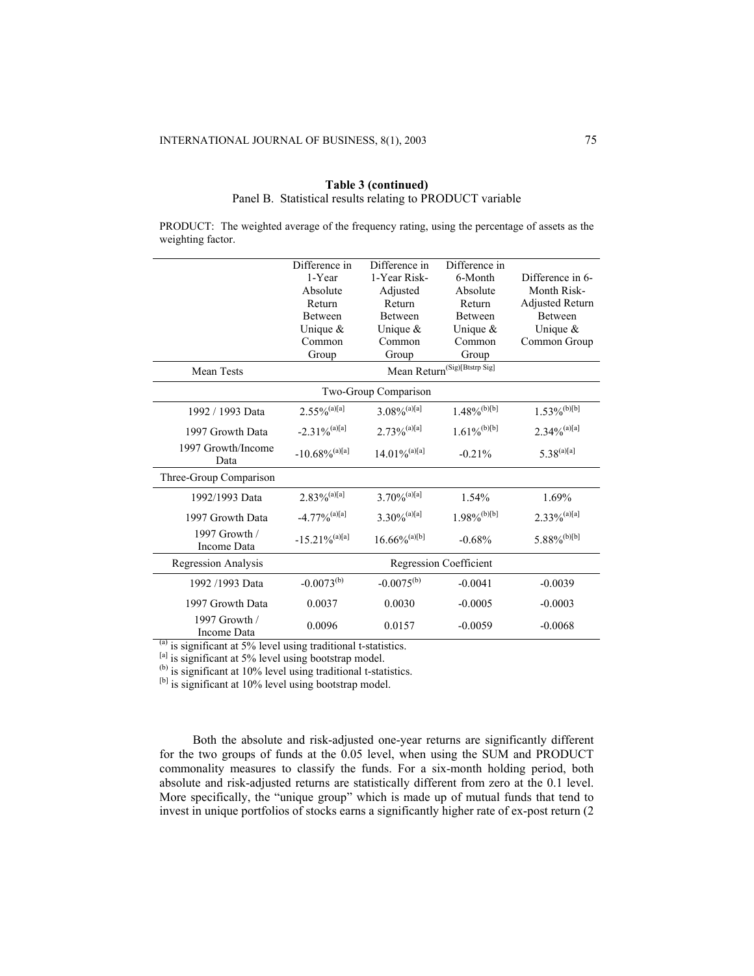|                              | Difference in                | Difference in               | Difference in                            |                            |  |  |
|------------------------------|------------------------------|-----------------------------|------------------------------------------|----------------------------|--|--|
|                              | 1-Year                       | 1-Year Risk-                | 6-Month                                  | Difference in 6-           |  |  |
|                              | Absolute                     | Adjusted                    | Absolute                                 | Month Risk-                |  |  |
|                              | Return                       | Return                      | Return                                   | <b>Adjusted Return</b>     |  |  |
|                              | <b>Between</b>               | <b>Between</b>              | <b>Between</b>                           | <b>Between</b>             |  |  |
|                              | Unique $&$                   | Unique $&$                  | Unique $&$                               | Unique $\&$                |  |  |
|                              | Common                       | Common                      | Common                                   | Common Group               |  |  |
|                              | Group                        | Group                       | Group                                    |                            |  |  |
| <b>Mean Tests</b>            |                              |                             | Mean Return <sup>(Sig)[Btstrp Sig]</sup> |                            |  |  |
|                              | Two-Group Comparison         |                             |                                          |                            |  |  |
| 1992 / 1993 Data             | $2.55\%$ <sup>(a)[a]</sup>   | $3.08\%$ <sup>(a)[a]</sup>  | $1.48\%$ <sup>(b)[b]</sup>               | $1.53\%$ <sup>(b)[b]</sup> |  |  |
| 1997 Growth Data             | $-2.31\%$ <sup>(a)[a]</sup>  | $2.73\%$ <sup>(a)[a]</sup>  | $1.61\%$ <sup>(b)[b]</sup>               | $2.34\%^{(a)[a]}$          |  |  |
| 1997 Growth/Income<br>Data   | $-10.68\%$ <sup>(a)[a]</sup> | $14.01\%$ <sup>(a)[a]</sup> | $-0.21%$                                 | $5.38^{(a)[a]}$            |  |  |
| Three-Group Comparison       |                              |                             |                                          |                            |  |  |
| 1992/1993 Data               | $2.83\%$ <sup>(a)[a]</sup>   | $3.70\%$ <sup>(a)[a]</sup>  | 1.54%                                    | 1.69%                      |  |  |
| 1997 Growth Data             | $-4.77\%$ <sup>(a)[a]</sup>  | $3.30\%$ <sup>(a)[a]</sup>  | $1.98\%$ <sup>(b)[b]</sup>               | $2.33\%^{(a)[a]}$          |  |  |
| 1997 Growth /<br>Income Data | $-15.21\%$ <sup>(a)[a]</sup> | $16.66\%$ <sup>(a)[b]</sup> | $-0.68%$                                 | $5.88\%$ <sup>(b)[b]</sup> |  |  |
| Regression Analysis          |                              |                             | <b>Regression Coefficient</b>            |                            |  |  |
| 1992 /1993 Data              | $-0.0073^{(b)}$              | $-0.0075^{(b)}$             | $-0.0041$                                | $-0.0039$                  |  |  |
| 1997 Growth Data             | 0.0037                       | 0.0030                      | $-0.0005$                                | $-0.0003$                  |  |  |
| 1997 Growth /<br>Income Data | 0.0096                       | 0.0157                      | $-0.0059$                                | $-0.0068$                  |  |  |

### **Table 3 (continued)**  Panel B. Statistical results relating to PRODUCT variable

PRODUCT: The weighted average of the frequency rating, using the percentage of assets as the weighting factor.

 $<sup>(a)</sup>$  is significant at 5% level using traditional t-statistics.</sup>

[a] is significant at 5% level using bootstrap model.

 $<sup>(b)</sup>$  is significant at 10% level using traditional t-statistics.</sup>

[b] is significant at 10% level using bootstrap model.

Both the absolute and risk-adjusted one-year returns are significantly different for the two groups of funds at the  $0.05$  level, when using the SUM and PRODUCT commonality measures to classify the funds. For a six-month holding period, both absolute and risk-adjusted returns are statistically different from zero at the 0.1 level. More specifically, the "unique group" which is made up of mutual funds that tend to invest in unique portfolios of stocks earns a significantly higher rate of ex-post return (2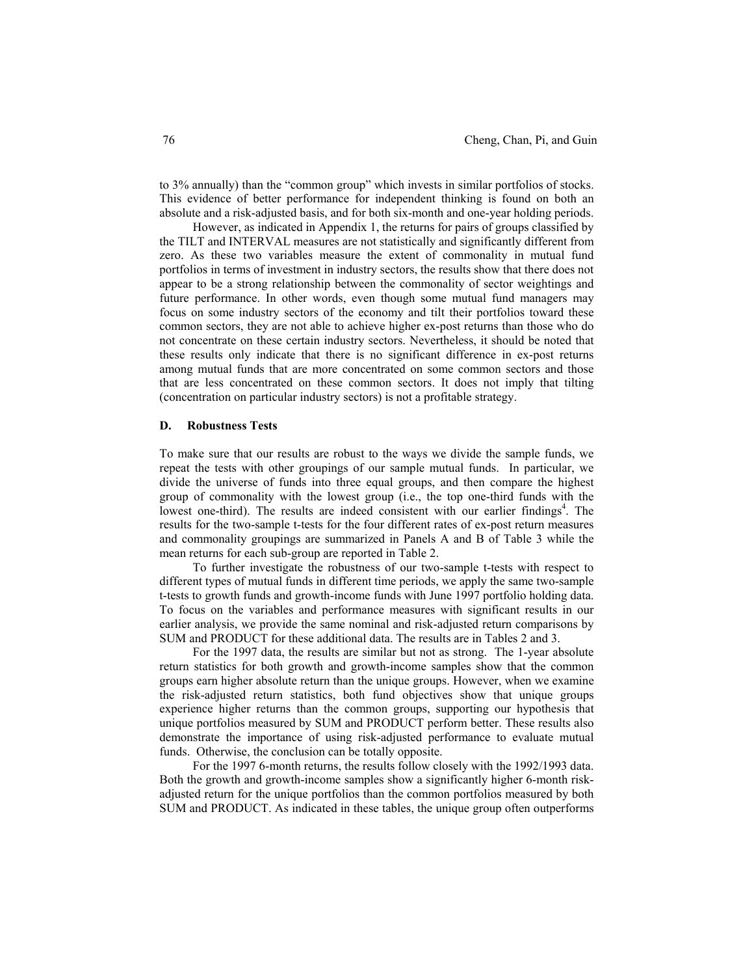to 3% annually) than the "common group" which invests in similar portfolios of stocks. This evidence of better performance for independent thinking is found on both an absolute and a risk-adjusted basis, and for both six-month and one-year holding periods.

However, as indicated in Appendix 1, the returns for pairs of groups classified by the TILT and INTERVAL measures are not statistically and significantly different from zero. As these two variables measure the extent of commonality in mutual fund portfolios in terms of investment in industry sectors, the results show that there does not appear to be a strong relationship between the commonality of sector weightings and future performance. In other words, even though some mutual fund managers may focus on some industry sectors of the economy and tilt their portfolios toward these common sectors, they are not able to achieve higher ex-post returns than those who do not concentrate on these certain industry sectors. Nevertheless, it should be noted that these results only indicate that there is no significant difference in ex-post returns among mutual funds that are more concentrated on some common sectors and those that are less concentrated on these common sectors. It does not imply that tilting (concentration on particular industry sectors) is not a profitable strategy.

### **D. Robustness Tests**

To make sure that our results are robust to the ways we divide the sample funds, we repeat the tests with other groupings of our sample mutual funds. In particular, we divide the universe of funds into three equal groups, and then compare the highest group of commonality with the lowest group (i.e., the top one-third funds with the lowest one-third). The results are indeed consistent with our earlier findings<sup>4</sup>. The results for the two-sample t-tests for the four different rates of ex-post return measures and commonality groupings are summarized in Panels A and B of Table 3 while the mean returns for each sub-group are reported in Table 2.

To further investigate the robustness of our two-sample t-tests with respect to different types of mutual funds in different time periods, we apply the same two-sample t-tests to growth funds and growth-income funds with June 1997 portfolio holding data. To focus on the variables and performance measures with significant results in our earlier analysis, we provide the same nominal and risk-adjusted return comparisons by SUM and PRODUCT for these additional data. The results are in Tables 2 and 3.

For the 1997 data, the results are similar but not as strong. The 1-year absolute return statistics for both growth and growth-income samples show that the common groups earn higher absolute return than the unique groups. However, when we examine the risk-adjusted return statistics, both fund objectives show that unique groups experience higher returns than the common groups, supporting our hypothesis that unique portfolios measured by SUM and PRODUCT perform better. These results also demonstrate the importance of using risk-adjusted performance to evaluate mutual funds. Otherwise, the conclusion can be totally opposite.

For the 1997 6-month returns, the results follow closely with the 1992/1993 data. Both the growth and growth-income samples show a significantly higher 6-month riskadjusted return for the unique portfolios than the common portfolios measured by both SUM and PRODUCT. As indicated in these tables, the unique group often outperforms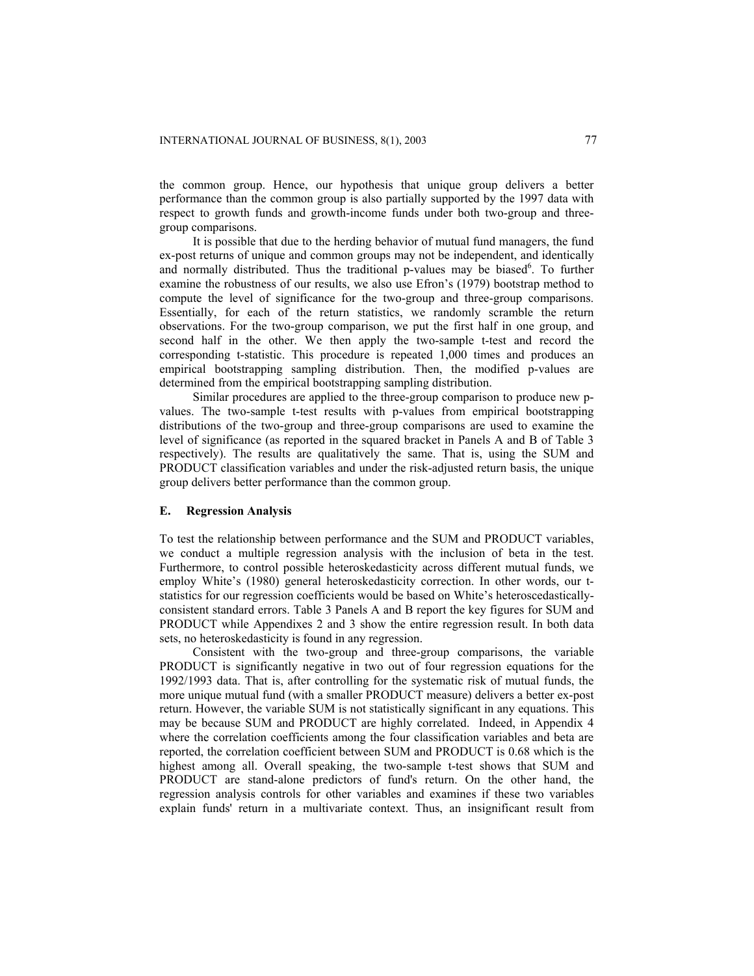the common group. Hence, our hypothesis that unique group delivers a better performance than the common group is also partially supported by the 1997 data with respect to growth funds and growth-income funds under both two-group and threegroup comparisons.

It is possible that due to the herding behavior of mutual fund managers, the fund ex-post returns of unique and common groups may not be independent, and identically and normally distributed. Thus the traditional p-values may be biased<sup>6</sup>. To further examine the robustness of our results, we also use Efron's (1979) bootstrap method to compute the level of significance for the two-group and three-group comparisons. Essentially, for each of the return statistics, we randomly scramble the return observations. For the two-group comparison, we put the first half in one group, and second half in the other. We then apply the two-sample t-test and record the corresponding t-statistic. This procedure is repeated 1,000 times and produces an empirical bootstrapping sampling distribution. Then, the modified p-values are determined from the empirical bootstrapping sampling distribution.

Similar procedures are applied to the three-group comparison to produce new pvalues. The two-sample t-test results with p-values from empirical bootstrapping distributions of the two-group and three-group comparisons are used to examine the level of significance (as reported in the squared bracket in Panels A and B of Table 3 respectively). The results are qualitatively the same. That is, using the SUM and PRODUCT classification variables and under the risk-adjusted return basis, the unique group delivers better performance than the common group.

#### **E. Regression Analysis**

To test the relationship between performance and the SUM and PRODUCT variables, we conduct a multiple regression analysis with the inclusion of beta in the test. Furthermore, to control possible heteroskedasticity across different mutual funds, we employ White's (1980) general heteroskedasticity correction. In other words, our tstatistics for our regression coefficients would be based on White's heteroscedasticallyconsistent standard errors. Table 3 Panels A and B report the key figures for SUM and PRODUCT while Appendixes 2 and 3 show the entire regression result. In both data sets, no heteroskedasticity is found in any regression.

Consistent with the two-group and three-group comparisons, the variable PRODUCT is significantly negative in two out of four regression equations for the 1992/1993 data. That is, after controlling for the systematic risk of mutual funds, the more unique mutual fund (with a smaller PRODUCT measure) delivers a better ex-post return. However, the variable SUM is not statistically significant in any equations. This may be because SUM and PRODUCT are highly correlated. Indeed, in Appendix 4 where the correlation coefficients among the four classification variables and beta are reported, the correlation coefficient between SUM and PRODUCT is 0.68 which is the highest among all. Overall speaking, the two-sample t-test shows that SUM and PRODUCT are stand-alone predictors of fund's return. On the other hand, the regression analysis controls for other variables and examines if these two variables explain funds' return in a multivariate context. Thus, an insignificant result from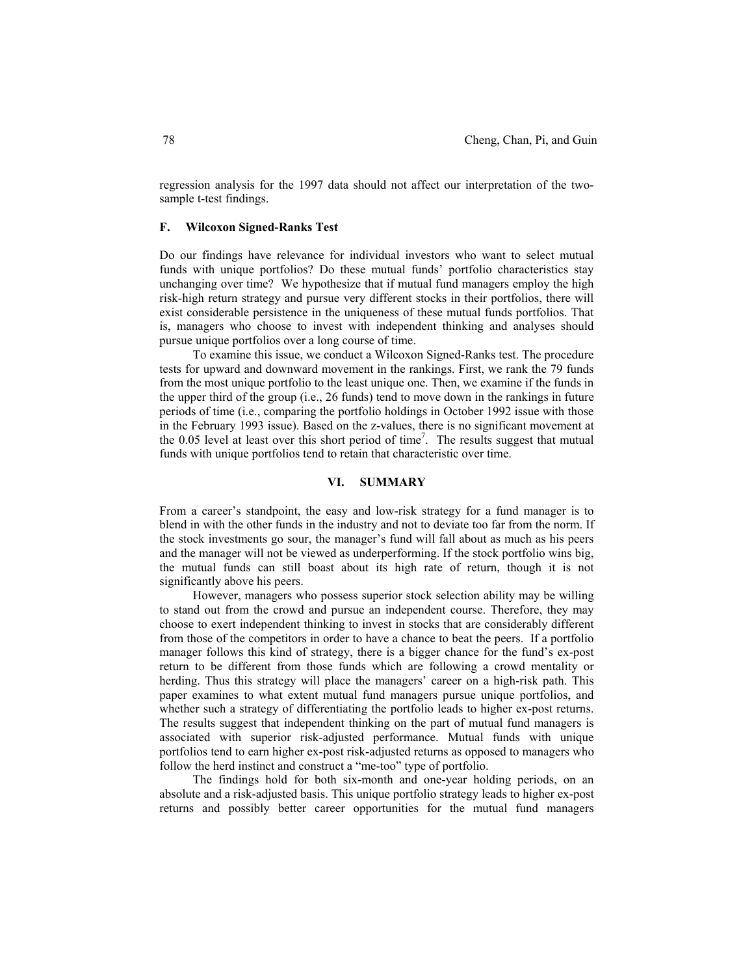regression analysis for the 1997 data should not affect our interpretation of the twosample t-test findings.

#### **F. Wilcoxon Signed-Ranks Test**

Do our findings have relevance for individual investors who want to select mutual funds with unique portfolios? Do these mutual funds' portfolio characteristics stay unchanging over time? We hypothesize that if mutual fund managers employ the high risk-high return strategy and pursue very different stocks in their portfolios, there will exist considerable persistence in the uniqueness of these mutual funds portfolios. That is, managers who choose to invest with independent thinking and analyses should pursue unique portfolios over a long course of time.

To examine this issue, we conduct a Wilcoxon Signed-Ranks test. The procedure tests for upward and downward movement in the rankings. First, we rank the 79 funds from the most unique portfolio to the least unique one. Then, we examine if the funds in the upper third of the group (i.e., 26 funds) tend to move down in the rankings in future periods of time (i.e., comparing the portfolio holdings in October 1992 issue with those in the February 1993 issue). Based on the z-values, there is no significant movement at the  $0.05$  level at least over this short period of time<sup>7</sup>. The results suggest that mutual funds with unique portfolios tend to retain that characteristic over time.

### **VI. SUMMARY**

From a career's standpoint, the easy and low-risk strategy for a fund manager is to blend in with the other funds in the industry and not to deviate too far from the norm. If the stock investments go sour, the manager's fund will fall about as much as his peers and the manager will not be viewed as underperforming. If the stock portfolio wins big, the mutual funds can still boast about its high rate of return, though it is not significantly above his peers.

However, managers who possess superior stock selection ability may be willing to stand out from the crowd and pursue an independent course. Therefore, they may choose to exert independent thinking to invest in stocks that are considerably different from those of the competitors in order to have a chance to beat the peers. If a portfolio manager follows this kind of strategy, there is a bigger chance for the fund's ex-post return to be different from those funds which are following a crowd mentality or herding. Thus this strategy will place the managers' career on a high-risk path. This paper examines to what extent mutual fund managers pursue unique portfolios, and whether such a strategy of differentiating the portfolio leads to higher ex-post returns. The results suggest that independent thinking on the part of mutual fund managers is associated with superior risk-adjusted performance. Mutual funds with unique portfolios tend to earn higher ex-post risk-adjusted returns as opposed to managers who follow the herd instinct and construct a "me-too" type of portfolio.

The findings hold for both six-month and one-year holding periods, on an absolute and a risk-adjusted basis. This unique portfolio strategy leads to higher ex-post returns and possibly better career opportunities for the mutual fund managers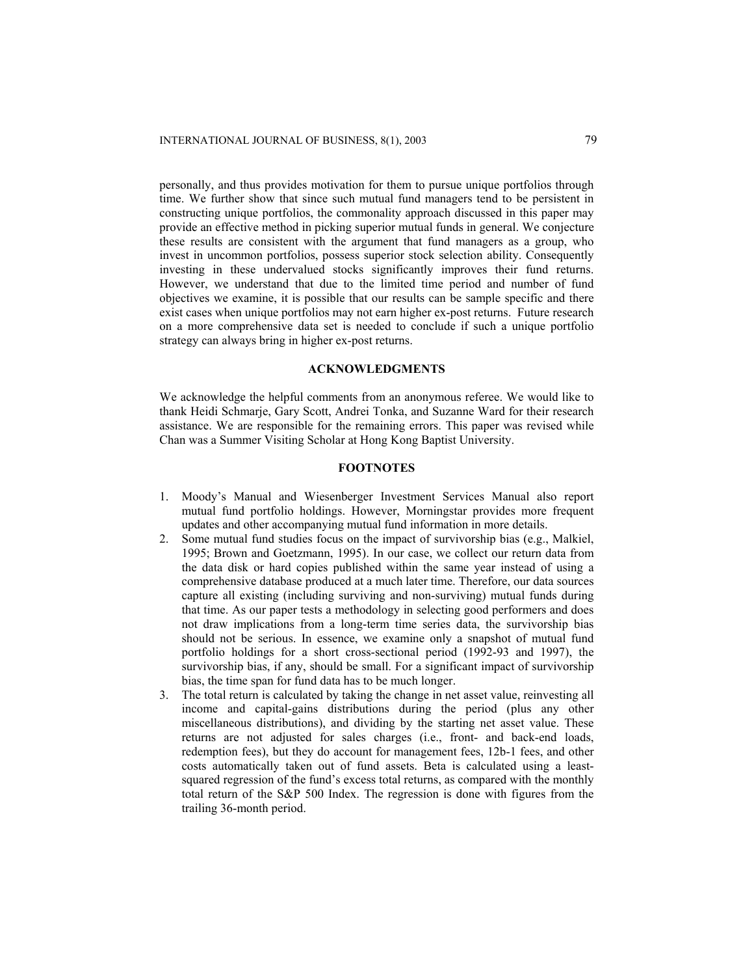personally, and thus provides motivation for them to pursue unique portfolios through time. We further show that since such mutual fund managers tend to be persistent in constructing unique portfolios, the commonality approach discussed in this paper may provide an effective method in picking superior mutual funds in general. We conjecture these results are consistent with the argument that fund managers as a group, who invest in uncommon portfolios, possess superior stock selection ability. Consequently investing in these undervalued stocks significantly improves their fund returns. However, we understand that due to the limited time period and number of fund objectives we examine, it is possible that our results can be sample specific and there exist cases when unique portfolios may not earn higher ex-post returns. Future research on a more comprehensive data set is needed to conclude if such a unique portfolio strategy can always bring in higher ex-post returns.

#### **ACKNOWLEDGMENTS**

We acknowledge the helpful comments from an anonymous referee. We would like to thank Heidi Schmarje, Gary Scott, Andrei Tonka, and Suzanne Ward for their research assistance. We are responsible for the remaining errors. This paper was revised while Chan was a Summer Visiting Scholar at Hong Kong Baptist University.

# **FOOTNOTES**

- 1. Moody's Manual and Wiesenberger Investment Services Manual also report mutual fund portfolio holdings. However, Morningstar provides more frequent updates and other accompanying mutual fund information in more details.
- 2. Some mutual fund studies focus on the impact of survivorship bias (e.g., Malkiel, 1995; Brown and Goetzmann, 1995). In our case, we collect our return data from the data disk or hard copies published within the same year instead of using a comprehensive database produced at a much later time. Therefore, our data sources capture all existing (including surviving and non-surviving) mutual funds during that time. As our paper tests a methodology in selecting good performers and does not draw implications from a long-term time series data, the survivorship bias should not be serious. In essence, we examine only a snapshot of mutual fund portfolio holdings for a short cross-sectional period (1992-93 and 1997), the survivorship bias, if any, should be small. For a significant impact of survivorship bias, the time span for fund data has to be much longer.
- 3. The total return is calculated by taking the change in net asset value, reinvesting all income and capital-gains distributions during the period (plus any other miscellaneous distributions), and dividing by the starting net asset value. These returns are not adjusted for sales charges (i.e., front- and back-end loads, redemption fees), but they do account for management fees, 12b-1 fees, and other costs automatically taken out of fund assets. Beta is calculated using a leastsquared regression of the fund's excess total returns, as compared with the monthly total return of the S&P 500 Index. The regression is done with figures from the trailing 36-month period.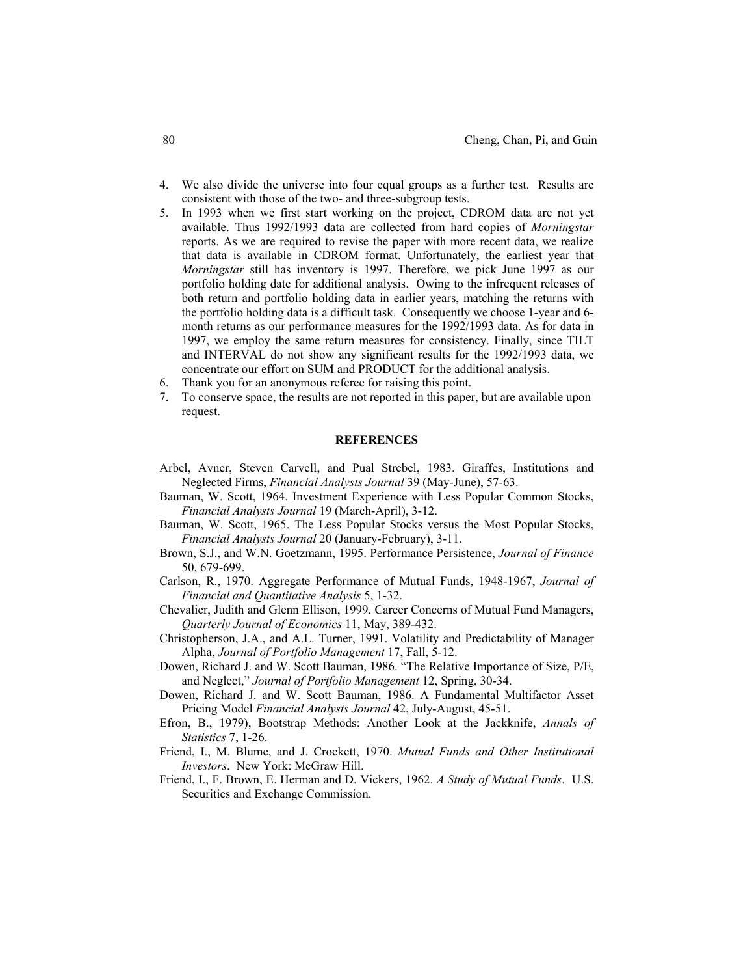- 4. We also divide the universe into four equal groups as a further test. Results are consistent with those of the two- and three-subgroup tests.
- 5. In 1993 when we first start working on the project, CDROM data are not yet available. Thus 1992/1993 data are collected from hard copies of *Morningstar* reports. As we are required to revise the paper with more recent data, we realize that data is available in CDROM format. Unfortunately, the earliest year that *Morningstar* still has inventory is 1997. Therefore, we pick June 1997 as our portfolio holding date for additional analysis. Owing to the infrequent releases of both return and portfolio holding data in earlier years, matching the returns with the portfolio holding data is a difficult task. Consequently we choose 1-year and 6 month returns as our performance measures for the 1992/1993 data. As for data in 1997, we employ the same return measures for consistency. Finally, since TILT and INTERVAL do not show any significant results for the 1992/1993 data, we concentrate our effort on SUM and PRODUCT for the additional analysis.
- 6. Thank you for an anonymous referee for raising this point.
- 7. To conserve space, the results are not reported in this paper, but are available upon request.

### **REFERENCES**

- Arbel, Avner, Steven Carvell, and Pual Strebel, 1983. Giraffes, Institutions and Neglected Firms, *Financial Analysts Journal* 39 (May-June), 57-63.
- Bauman, W. Scott, 1964. Investment Experience with Less Popular Common Stocks, *Financial Analysts Journal* 19 (March-April), 3-12.
- Bauman, W. Scott, 1965. The Less Popular Stocks versus the Most Popular Stocks, *Financial Analysts Journal* 20 (January-February), 3-11.
- Brown, S.J., and W.N. Goetzmann, 1995. Performance Persistence, *Journal of Finance* 50, 679-699.
- Carlson, R., 1970. Aggregate Performance of Mutual Funds, 1948-1967, *Journal of Financial and Quantitative Analysis* 5, 1-32.
- Chevalier, Judith and Glenn Ellison, 1999. Career Concerns of Mutual Fund Managers, *Quarterly Journal of Economics* 11, May, 389-432.
- Christopherson, J.A., and A.L. Turner, 1991. Volatility and Predictability of Manager Alpha, *Journal of Portfolio Management* 17, Fall, 5-12.
- Dowen, Richard J. and W. Scott Bauman, 1986. "The Relative Importance of Size, P/E, and Neglect," *Journal of Portfolio Management* 12, Spring, 30-34.
- Dowen, Richard J. and W. Scott Bauman, 1986. A Fundamental Multifactor Asset Pricing Model *Financial Analysts Journal* 42, July-August, 45-51.
- Efron, B., 1979), Bootstrap Methods: Another Look at the Jackknife, *Annals of Statistics* 7, 1-26.
- Friend, I., M. Blume, and J. Crockett, 1970. *Mutual Funds and Other Institutional Investors*. New York: McGraw Hill.
- Friend, I., F. Brown, E. Herman and D. Vickers, 1962. *A Study of Mutual Funds*. U.S. Securities and Exchange Commission.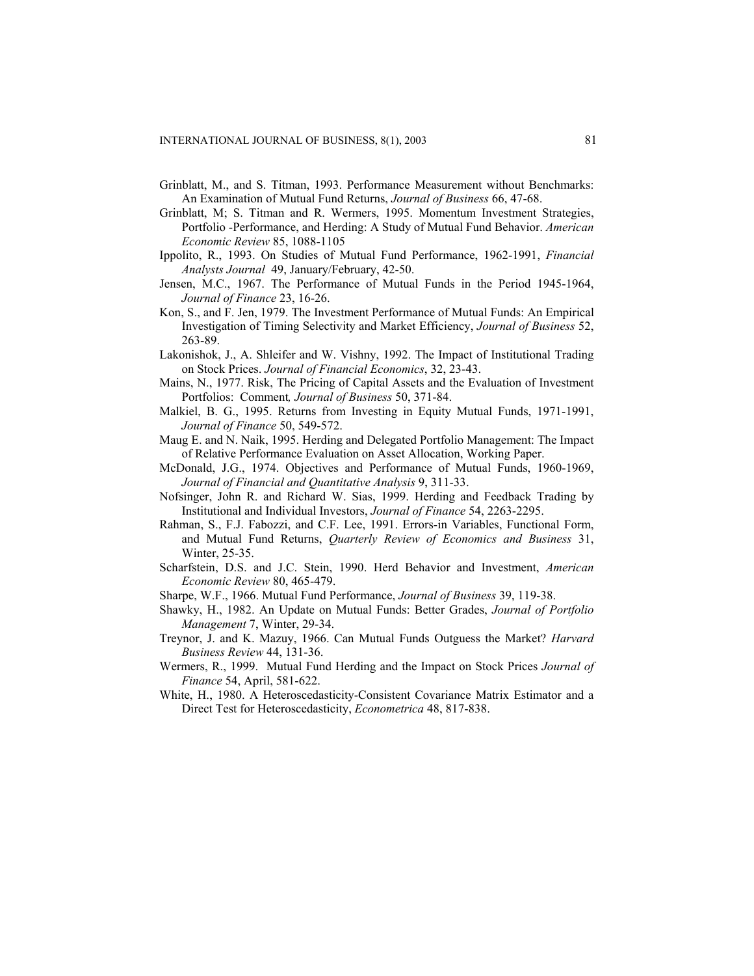- Grinblatt, M., and S. Titman, 1993. Performance Measurement without Benchmarks: An Examination of Mutual Fund Returns, *Journal of Business* 66, 47-68.
- Grinblatt, M; S. Titman and R. Wermers, 1995. Momentum Investment Strategies, Portfolio -Performance, and Herding: A Study of Mutual Fund Behavior. *American Economic Review* 85, 1088-1105
- Ippolito, R., 1993. On Studies of Mutual Fund Performance, 1962-1991, *Financial Analysts Journal* 49, January/February, 42-50.
- Jensen, M.C., 1967. The Performance of Mutual Funds in the Period 1945-1964, *Journal of Finance* 23, 16-26.
- Kon, S., and F. Jen, 1979. The Investment Performance of Mutual Funds: An Empirical Investigation of Timing Selectivity and Market Efficiency, *Journal of Business* 52, 263-89.
- Lakonishok, J., A. Shleifer and W. Vishny, 1992. The Impact of Institutional Trading on Stock Prices. *Journal of Financial Economics*, 32, 23-43.
- Mains, N., 1977. Risk, The Pricing of Capital Assets and the Evaluation of Investment Portfolios: Comment*, Journal of Business* 50, 371-84.
- Malkiel, B. G., 1995. Returns from Investing in Equity Mutual Funds, 1971-1991, *Journal of Finance* 50, 549-572.
- Maug E. and N. Naik, 1995. Herding and Delegated Portfolio Management: The Impact of Relative Performance Evaluation on Asset Allocation, Working Paper.
- McDonald, J.G., 1974. Objectives and Performance of Mutual Funds, 1960-1969, *Journal of Financial and Quantitative Analysis* 9, 311-33.
- Nofsinger, John R. and Richard W. Sias, 1999. Herding and Feedback Trading by Institutional and Individual Investors, *Journal of Finance* 54, 2263-2295.
- Rahman, S., F.J. Fabozzi, and C.F. Lee, 1991. Errors-in Variables, Functional Form, and Mutual Fund Returns, *Quarterly Review of Economics and Business* 31, Winter, 25-35.
- Scharfstein, D.S. and J.C. Stein, 1990. Herd Behavior and Investment, *American Economic Review* 80, 465-479.
- Sharpe, W.F., 1966. Mutual Fund Performance, *Journal of Business* 39, 119-38.
- Shawky, H., 1982. An Update on Mutual Funds: Better Grades, *Journal of Portfolio Management* 7, Winter, 29-34.
- Treynor, J. and K. Mazuy, 1966. Can Mutual Funds Outguess the Market? *Harvard Business Review* 44, 131-36.
- Wermers, R., 1999. Mutual Fund Herding and the Impact on Stock Prices *Journal of Finance* 54, April, 581-622.
- White, H., 1980. A Heteroscedasticity-Consistent Covariance Matrix Estimator and a Direct Test for Heteroscedasticity, *Econometrica* 48, 817-838.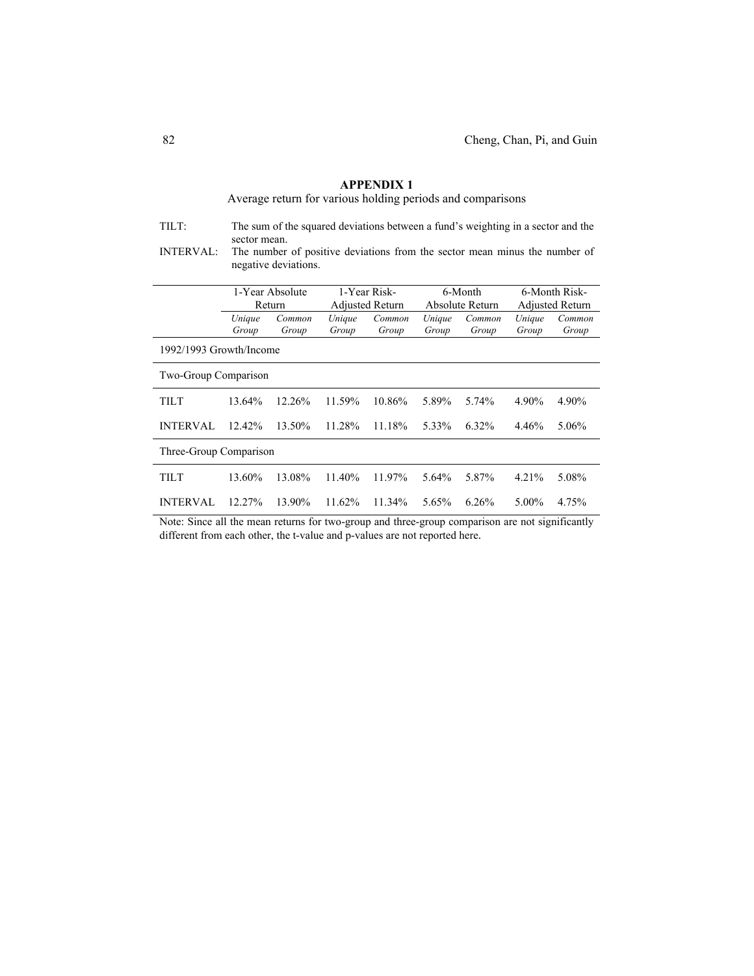| TILT:                       | The sum of the squared deviations between a fund's weighting in a sector and the<br>sector mean. |                                                                                                    |        |                 |        |                 |        |                        |
|-----------------------------|--------------------------------------------------------------------------------------------------|----------------------------------------------------------------------------------------------------|--------|-----------------|--------|-----------------|--------|------------------------|
| <b>INTERVAL:</b>            |                                                                                                  | The number of positive deviations from the sector mean minus the number of<br>negative deviations. |        |                 |        |                 |        |                        |
|                             |                                                                                                  |                                                                                                    |        |                 |        |                 |        |                        |
|                             |                                                                                                  | 1-Year Absolute<br>1-Year Risk-<br>6-Month<br>6-Month Risk-                                        |        |                 |        |                 |        |                        |
|                             | Return                                                                                           |                                                                                                    |        | Adjusted Return |        | Absolute Return |        | <b>Adjusted Return</b> |
|                             | Unique                                                                                           | Common                                                                                             | Unique | Common          | Unique | Common          | Unique | Common                 |
|                             | Group                                                                                            | Group                                                                                              | Group  | Group           | Group  | Group           | Group  | Group                  |
| 1992/1993 Growth/Income     |                                                                                                  |                                                                                                    |        |                 |        |                 |        |                        |
| <b>Two-Group Comparison</b> |                                                                                                  |                                                                                                    |        |                 |        |                 |        |                        |
| TILT                        | 13.64%                                                                                           | 12.26%                                                                                             | 11.59% | 10.86%          | 5.89%  | 5.74%           | 4.90%  | 4.90%                  |
| <b>INTERVAL</b>             | $12.42\%$                                                                                        | 13.50%                                                                                             | 11.28% | 11.18%          | 5.33%  | 6.32%           | 4.46%  | 5.06%                  |
| Three-Group Comparison      |                                                                                                  |                                                                                                    |        |                 |        |                 |        |                        |
| TILT                        | 13.60%                                                                                           | 13.08%                                                                                             | 11.40% | 11.97%          | 5.64%  | 5.87%           | 4.21%  | 5.08%                  |
| <b>INTERVAL</b>             | $12.27\%$                                                                                        | 13.90%                                                                                             | 11.62% | 11.34%          | 5.65%  | 6.26%           | 5.00%  | 4.75%                  |

Average return for various holding periods and comparisons

Note: Since all the mean returns for two-group and three-group comparison are not significantly different from each other, the t-value and p-values are not reported here.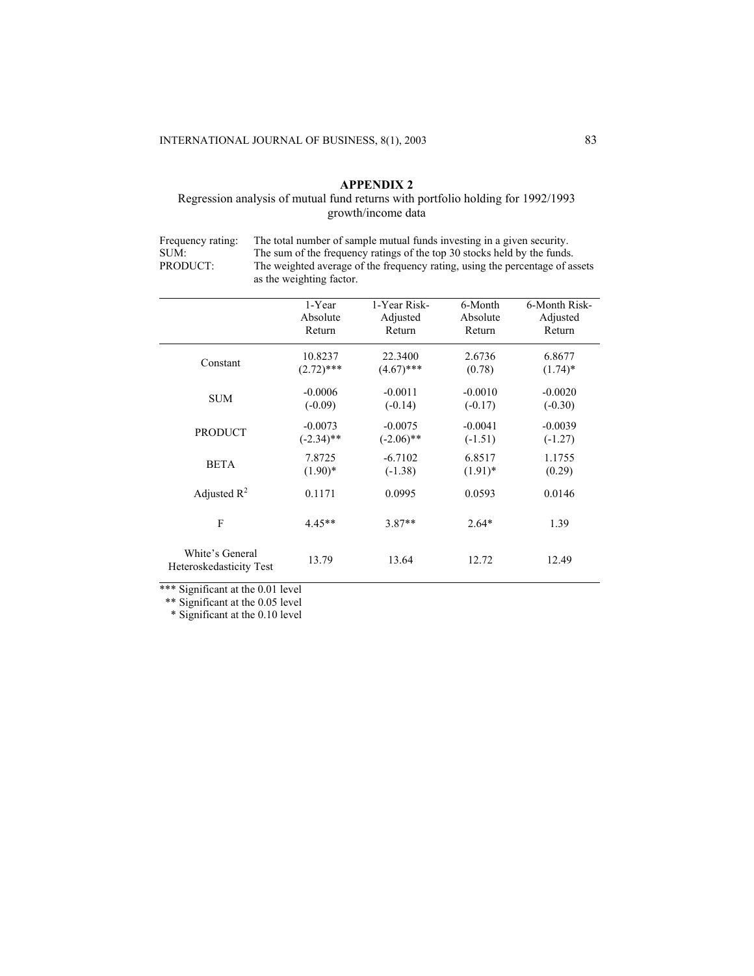# Regression analysis of mutual fund returns with portfolio holding for 1992/1993 growth/income data

Frequency rating: The total number of sample mutual funds investing in a given security.<br>SUM: The sum of the frequency ratings of the top 30 stocks held by the funds. SUM: The sum of the frequency ratings of the top 30 stocks held by the funds.<br>PRODUCT: The weighted average of the frequency rating, using the percentage of as The weighted average of the frequency rating, using the percentage of assets as the weighting factor.

|                                            | 1-Year       | 1-Year Risk- | 6-Month    | 6-Month Risk- |
|--------------------------------------------|--------------|--------------|------------|---------------|
|                                            | Absolute     | Adjusted     | Absolute   | Adjusted      |
|                                            | Return       | Return       | Return     | Return        |
| Constant                                   | 10.8237      | 22.3400      | 2.6736     | 6.8677        |
|                                            | $(2.72)$ *** | $(4.67)$ *** | (0.78)     | $(1.74)^*$    |
| <b>SUM</b>                                 | $-0.0006$    | $-0.0011$    | $-0.0010$  | $-0.0020$     |
|                                            | $(-0.09)$    | $(-0.14)$    | $(-0.17)$  | $(-0.30)$     |
| <b>PRODUCT</b>                             | $-0.0073$    | $-0.0075$    | $-0.0041$  | $-0.0039$     |
|                                            | $(-2.34)$ ** | $(-2.06)$ ** | $(-1.51)$  | $(-1.27)$     |
| <b>BETA</b>                                | 7.8725       | $-6.7102$    | 6.8517     | 1.1755        |
|                                            | $(1.90)*$    | $(-1.38)$    | $(1.91)^*$ | (0.29)        |
| Adjusted $R^2$                             | 0.1171       | 0.0995       | 0.0593     | 0.0146        |
| F                                          | $4.45**$     | $3.87**$     | $2.64*$    | 1.39          |
| White's General<br>Heteroskedasticity Test | 13.79        | 13.64        | 12.72      | 12.49         |

\*\*\* Significant at the 0.01 level

\*\* Significant at the 0.05 level

\* Significant at the 0.10 level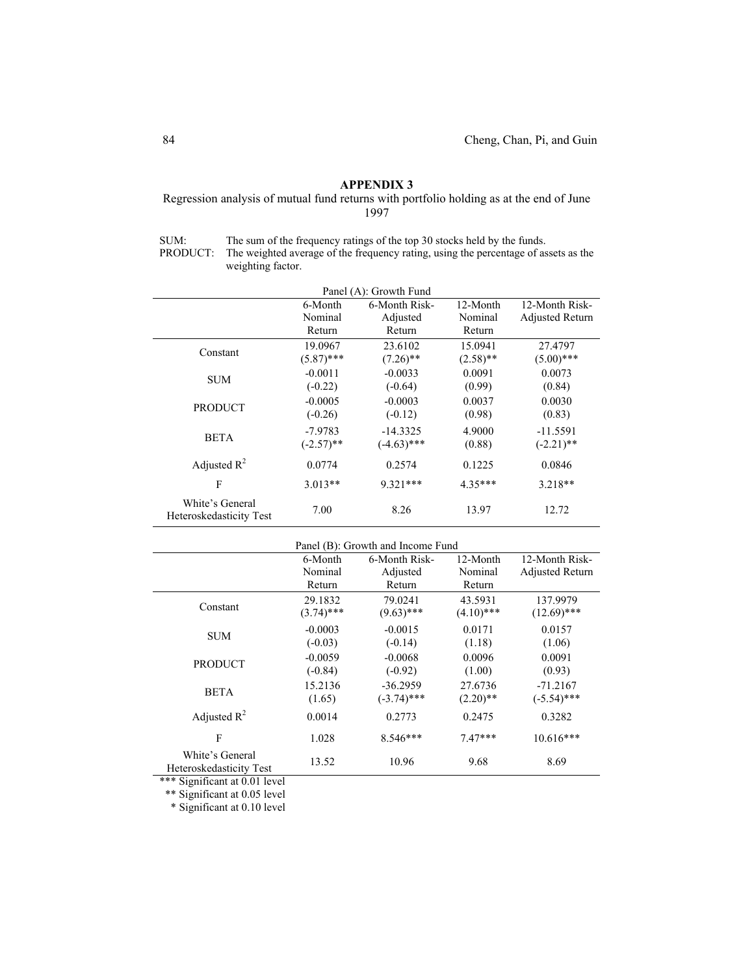## Regression analysis of mutual fund returns with portfolio holding as at the end of June 1997

SUM: The sum of the frequency ratings of the top 30 stocks held by the funds.

PRODUCT: The weighted average of the frequency rating, using the percentage of assets as the weighting factor.

|                                            | Panel (A): Growth Fund |               |             |                 |  |  |  |
|--------------------------------------------|------------------------|---------------|-------------|-----------------|--|--|--|
|                                            | 6-Month                | 6-Month Risk- | 12-Month    | 12-Month Risk-  |  |  |  |
|                                            | Nominal                | Adjusted      | Nominal     | Adjusted Return |  |  |  |
|                                            | Return                 | Return        | Return      |                 |  |  |  |
| Constant                                   | 19.0967                | 23.6102       | 15.0941     | 27.4797         |  |  |  |
|                                            | $(5.87)$ ***           | $(7.26)$ **   | $(2.58)$ ** | $(5.00)$ ***    |  |  |  |
|                                            | $-0.0011$              | $-0.0033$     | 0.0091      | 0.0073          |  |  |  |
| <b>SUM</b>                                 | $(-0.22)$              | $(-0.64)$     | (0.99)      | (0.84)          |  |  |  |
|                                            | $-0.0005$              | $-0.0003$     | 0.0037      | 0.0030          |  |  |  |
| <b>PRODUCT</b>                             | $(-0.26)$              | $(-0.12)$     | (0.98)      | (0.83)          |  |  |  |
|                                            | $-7.9783$              | $-14.3325$    | 4.9000      | $-11.5591$      |  |  |  |
| <b>BETA</b>                                | $(-2.57)$ **           | $(-4.63)$ *** | (0.88)      | $(-2.21)$ **    |  |  |  |
| Adjusted $R^2$                             | 0.0774                 | 0.2574        | 0.1225      | 0.0846          |  |  |  |
| F                                          | $3.013**$              | $9.321***$    | $4.35***$   | $3.218**$       |  |  |  |
| White's General<br>Heteroskedasticity Test | 7.00                   | 8.26          | 13.97       | 12.72           |  |  |  |

|                                            | Panel (B): Growth and Income Fund |               |              |                        |  |  |  |
|--------------------------------------------|-----------------------------------|---------------|--------------|------------------------|--|--|--|
|                                            | 6-Month                           | 6-Month Risk- | 12-Month     | 12-Month Risk-         |  |  |  |
|                                            | Nominal                           | Adjusted      | Nominal      | <b>Adjusted Return</b> |  |  |  |
|                                            | Return                            | Return        | Return       |                        |  |  |  |
| Constant                                   | 29.1832                           | 79.0241       | 43.5931      | 137.9979               |  |  |  |
|                                            | $(3.74)$ ***                      | $(9.63)$ ***  | $(4.10)$ *** | $(12.69)$ ***          |  |  |  |
| <b>SUM</b>                                 | $-0.0003$                         | $-0.0015$     | 0.0171       | 0.0157                 |  |  |  |
|                                            | $(-0.03)$                         | $(-0.14)$     | (1.18)       | (1.06)                 |  |  |  |
| <b>PRODUCT</b>                             | $-0.0059$                         | $-0.0068$     | 0.0096       | 0.0091                 |  |  |  |
|                                            | $(-0.84)$                         | $(-0.92)$     | (1.00)       | (0.93)                 |  |  |  |
| <b>BETA</b>                                | 15.2136                           | $-36.2959$    | 27.6736      | $-71.2167$             |  |  |  |
|                                            | (1.65)                            | $(-3.74)$ *** | $(2.20)$ **  | $(-5.54)$ ***          |  |  |  |
| Adjusted $R^2$                             | 0.0014                            | 0.2773        | 0.2475       | 0.3282                 |  |  |  |
| F                                          | 1.028                             | $8.546***$    | $7.47***$    | $10.616***$            |  |  |  |
| White's General<br>Heteroskedasticity Test | 13.52                             | 10.96         | 9.68         | 8.69                   |  |  |  |

\*\*\* Significant at 0.01 level

\*\* Significant at 0.05 level